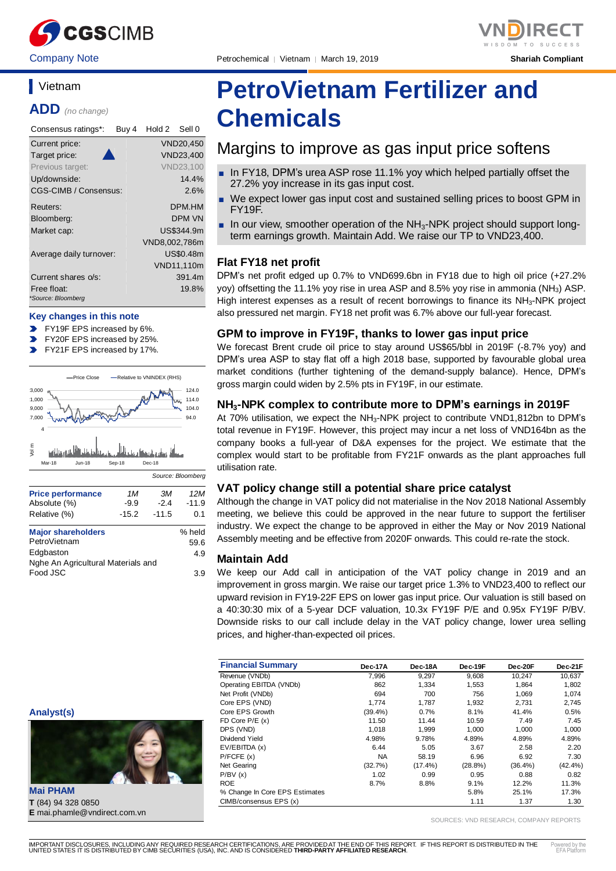

Company Note Petrochemical │ Vietnam │ March 19, 2019 **Shariah Compliant**



## **Vietnam**

**ADD** *(no change)*

| Consensus ratings*:               | Buy 4 | Hold 2        | Sell 0           |
|-----------------------------------|-------|---------------|------------------|
| Current price:                    |       |               | VND20,450        |
| Target price:                     |       |               | VND23.400        |
| Previous target:                  |       |               | <b>VND23,100</b> |
| Up/downside:                      |       |               | 14.4%            |
| CGS-CIMB / Consensus:             |       |               | $2.6\%$          |
| Reuters:                          |       |               | <b>DPM.HM</b>    |
| Bloomberg:                        |       |               | DPM VN           |
| Market cap:                       |       |               | US\$344.9m       |
|                                   |       | VND8,002,786m |                  |
| Average daily turnover:           |       |               | US\$0.48m        |
|                                   |       |               | VND11,110m       |
| Current shares o/s:               |       |               | 391.4m           |
| Free float:<br>*Source: Bloomberg |       |               | 19.8%            |

#### **Key changes in this note**

FY19F EPS increased by 6%.

- FY20F EPS increased by 25%.
- FY21F EPS increased by 17%.  $\blacksquare$



## **PetroVietnam Fertilizer and**

# **Chemicals**

## Margins to improve as gas input price softens

- In FY18, DPM's urea ASP rose 11.1% yoy which helped partially offset the 27.2% yoy increase in its gas input cost.
- We expect lower gas input cost and sustained selling prices to boost GPM in FY19F.
- $\blacksquare$  In our view, smoother operation of the NH<sub>3</sub>-NPK project should support longterm earnings growth. Maintain Add. We raise our TP to VND23,400.

#### **Flat FY18 net profit**

DPM's net profit edged up 0.7% to VND699.6bn in FY18 due to high oil price (+27.2% yoy) offsetting the 11.1% yoy rise in urea ASP and 8.5% yoy rise in ammonia (NH3) ASP. High interest expenses as a result of recent borrowings to finance its NH<sub>3</sub>-NPK project also pressured net margin. FY18 net profit was 6.7% above our full-year forecast.

#### **GPM to improve in FY19F, thanks to lower gas input price**

We forecast Brent crude oil price to stay around US\$65/bbl in 2019F (-8.7% yoy) and DPM's urea ASP to stay flat off a high 2018 base, supported by favourable global urea market conditions (further tightening of the demand-supply balance). Hence, DPM's gross margin could widen by 2.5% pts in FY19F, in our estimate.

#### **NH3-NPK complex to contribute more to DPM's earnings in 2019F**

At 70% utilisation, we expect the NH<sub>3</sub>-NPK project to contribute VND1,812bn to DPM's total revenue in FY19F. However, this project may incur a net loss of VND164bn as the company books a full-year of D&A expenses for the project. We estimate that the complex would start to be profitable from FY21F onwards as the plant approaches full utilisation rate.

#### **VAT policy change still a potential share price catalyst**

Although the change in VAT policy did not materialise in the Nov 2018 National Assembly meeting, we believe this could be approved in the near future to support the fertiliser industry. We expect the change to be approved in either the May or Nov 2019 National Assembly meeting and be effective from 2020F onwards. This could re-rate the stock.

#### **Maintain Add**

We keep our Add call in anticipation of the VAT policy change in 2019 and an improvement in gross margin. We raise our target price 1.3% to VND23,400 to reflect our upward revision in FY19-22F EPS on lower gas input price. Our valuation is still based on a 40:30:30 mix of a 5-year DCF valuation, 10.3x FY19F P/E and 0.95x FY19F P/BV. Downside risks to our call include delay in the VAT policy change, lower urea selling prices, and higher-than-expected oil prices.

| <b>Financial Summary</b>       | Dec-17A    | Dec-18A    | Dec-19F    | Dec-20F    | Dec-21F    |
|--------------------------------|------------|------------|------------|------------|------------|
| Revenue (VNDb)                 | 7,996      | 9,297      | 9,608      | 10,247     | 10,637     |
| Operating EBITDA (VNDb)        | 862        | 1,334      | 1,553      | 1,864      | 1,802      |
| Net Profit (VNDb)              | 694        | 700        | 756        | 1.069      | 1.074      |
| Core EPS (VND)                 | 1.774      | 1.787      | 1.932      | 2.731      | 2.745      |
| Core EPS Growth                | $(39.4\%)$ | 0.7%       | 8.1%       | 41.4%      | 0.5%       |
| FD Core $P/E(x)$               | 11.50      | 11.44      | 10.59      | 7.49       | 7.45       |
| DPS (VND)                      | 1.018      | 1.999      | 1.000      | 1.000      | 1,000      |
| Dividend Yield                 | 4.98%      | 9.78%      | 4.89%      | 4.89%      | 4.89%      |
| EV/EBITDA (x)                  | 6.44       | 5.05       | 3.67       | 2.58       | 2.20       |
| P/FCFE(x)                      | <b>NA</b>  | 58.19      | 6.96       | 6.92       | 7.30       |
| Net Gearing                    | (32.7%)    | $(17.4\%)$ | $(28.8\%)$ | $(36.4\%)$ | $(42.4\%)$ |
| P/BV(x)                        | 1.02       | 0.99       | 0.95       | 0.88       | 0.82       |
| <b>ROE</b>                     | 8.7%       | 8.8%       | 9.1%       | 12.2%      | 11.3%      |
| % Change In Core EPS Estimates |            |            | 5.8%       | 25.1%      | 17.3%      |
| CIMB/consensus EPS (x)         |            |            | 1.11       | 1.37       | 1.30       |

SOURCES: VND RESEARCH, COMPANY REPORTS



**T** (84) 94 328 0850 **E** mai.phamle@vndirect.com.vn

**Analyst(s)**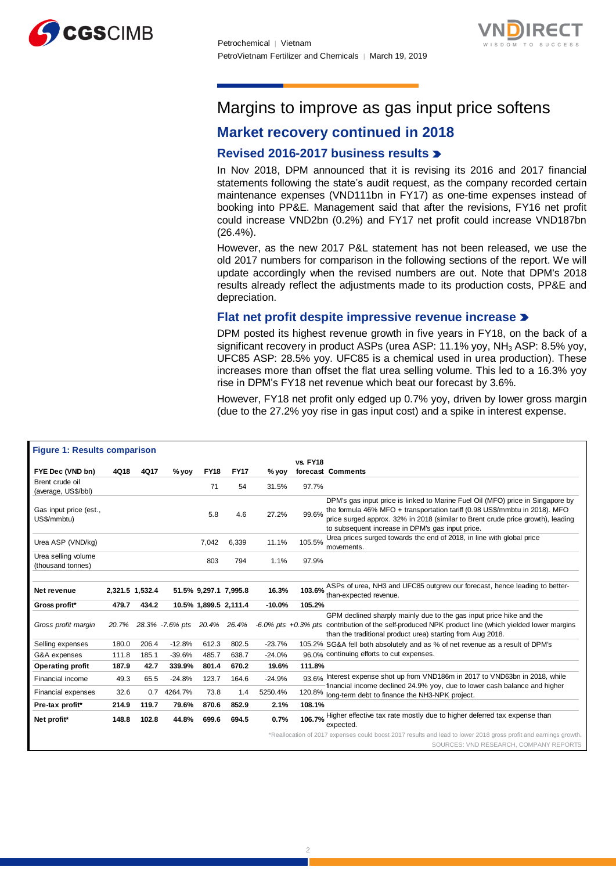



## Margins to improve as gas input price softens

## **Market recovery continued in 2018**

#### **Revised 2016-2017 business results**

In Nov 2018, DPM announced that it is revising its 2016 and 2017 financial statements following the state's audit request, as the company recorded certain maintenance expenses (VND111bn in FY17) as one-time expenses instead of booking into PP&E. Management said that after the revisions, FY16 net profit could increase VND2bn (0.2%) and FY17 net profit could increase VND187bn (26.4%).

However, as the new 2017 P&L statement has not been released, we use the old 2017 numbers for comparison in the following sections of the report. We will update accordingly when the revised numbers are out. Note that DPM's 2018 results already reflect the adjustments made to its production costs, PP&E and depreciation.

#### **Flat net profit despite impressive revenue increase**

DPM posted its highest revenue growth in five years in FY18, on the back of a significant recovery in product ASPs (urea ASP: 11.1% yoy, NH<sub>3</sub> ASP: 8.5% yoy, UFC85 ASP: 28.5% yoy. UFC85 is a chemical used in urea production). These increases more than offset the flat urea selling volume. This led to a 16.3% yoy rise in DPM's FY18 net revenue which beat our forecast by 3.6%.

However, FY18 net profit only edged up 0.7% yoy, driven by lower gross margin (due to the 27.2% yoy rise in gas input cost) and a spike in interest expense.

| <b>Figure 1: Results comparison</b>      |                 |       |                             |             |                       |          |                 |                                                                                                                                                                                                                                                                                                     |
|------------------------------------------|-----------------|-------|-----------------------------|-------------|-----------------------|----------|-----------------|-----------------------------------------------------------------------------------------------------------------------------------------------------------------------------------------------------------------------------------------------------------------------------------------------------|
|                                          |                 |       |                             |             |                       |          | <b>vs. FY18</b> |                                                                                                                                                                                                                                                                                                     |
| FYE Dec (VND bn)                         | 4Q18            | 4Q17  | $%$ yoy                     | <b>FY18</b> | <b>FY17</b>           | $%$ yoy  |                 | forecast Comments                                                                                                                                                                                                                                                                                   |
| Brent crude oil<br>(average, US\$/bbl)   |                 |       |                             | 71          | 54                    | 31.5%    | 97.7%           |                                                                                                                                                                                                                                                                                                     |
| Gas input price (est.,<br>US\$/mmbtu)    |                 |       |                             | 5.8         | 4.6                   | 27.2%    | 99.6%           | DPM's gas input price is linked to Marine Fuel Oil (MFO) price in Singapore by<br>the formula 46% MFO + transportation tariff (0.98 US\$/mmbtu in 2018). MFO<br>price surged approx. 32% in 2018 (similar to Brent crude price growth), leading<br>to subsequent increase in DPM's gas input price. |
| Urea ASP (VND/kg)                        |                 |       |                             | 7,042       | 6,339                 | 11.1%    | 105.5%          | Urea prices surged towards the end of 2018, in line with global price<br>movements.                                                                                                                                                                                                                 |
| Urea selling volume<br>(thousand tonnes) |                 |       |                             | 803         | 794                   | 1.1%     | 97.9%           |                                                                                                                                                                                                                                                                                                     |
| Net revenue                              | 2,321.5 1,532.4 |       |                             |             | 51.5% 9,297.1 7,995.8 | 16.3%    |                 | 103.6% ASPs of urea, NH3 and UFC85 outgrew our forecast, hence leading to better-<br>than-expected revenue.                                                                                                                                                                                         |
| Gross profit*                            | 479.7           | 434.2 |                             |             | 10.5% 1,899.5 2,111.4 | $-10.0%$ | 105.2%          |                                                                                                                                                                                                                                                                                                     |
| Gross profit margin                      | 20.7%           |       | 28.3% -7.6% pts 20.4% 26.4% |             |                       |          |                 | GPM declined sharply mainly due to the gas input price hike and the<br>-6.0% pts +0.3% pts contribution of the self-produced NPK product line (which yielded lower margins<br>than the traditional product urea) starting from Aug 2018.                                                            |
| Selling expenses                         | 180.0           | 206.4 | $-12.8%$                    | 612.3       | 802.5                 | $-23.7%$ |                 | 105.2% SG&A fell both absolutely and as % of net revenue as a result of DPM's                                                                                                                                                                                                                       |
| G&A expenses                             | 111.8           | 185.1 | $-39.6%$                    | 485.7       | 638.7                 | $-24.0%$ |                 | 96.0% continuing efforts to cut expenses.                                                                                                                                                                                                                                                           |
| <b>Operating profit</b>                  | 187.9           | 42.7  | 339.9%                      | 801.4       | 670.2                 | 19.6%    | 111.8%          |                                                                                                                                                                                                                                                                                                     |
| Financial income                         | 49.3            | 65.5  | $-24.8%$                    | 123.7       | 164.6                 | $-24.9%$ |                 | 93 6% Interest expense shot up from VND186m in 2017 to VND63bn in 2018, while                                                                                                                                                                                                                       |
| <b>Financial expenses</b>                | 32.6            |       | 0.7 4264.7%                 | 73.8        | 1.4                   | 5250.4%  |                 | financial income declined 24.9% yoy, due to lower cash balance and higher<br>120.8% long-term debt to finance the NH3-NPK project.                                                                                                                                                                  |
| Pre-tax profit*                          | 214.9           | 119.7 | 79.6%                       | 870.6       | 852.9                 | 2.1%     | 108.1%          |                                                                                                                                                                                                                                                                                                     |
| Net profit*                              | 148.8           | 102.8 | 44.8%                       | 699.6       | 694.5                 | 0.7%     |                 | 106.7% Higher effective tax rate mostly due to higher deferred tax expense than<br>expected.                                                                                                                                                                                                        |
|                                          |                 |       |                             |             |                       |          |                 | *Reallocation of 2017 expenses could boost 2017 results and lead to lower 2018 gross profit and earnings growth.<br>SOURCES: VND RESEARCH, COMPANY REPORTS                                                                                                                                          |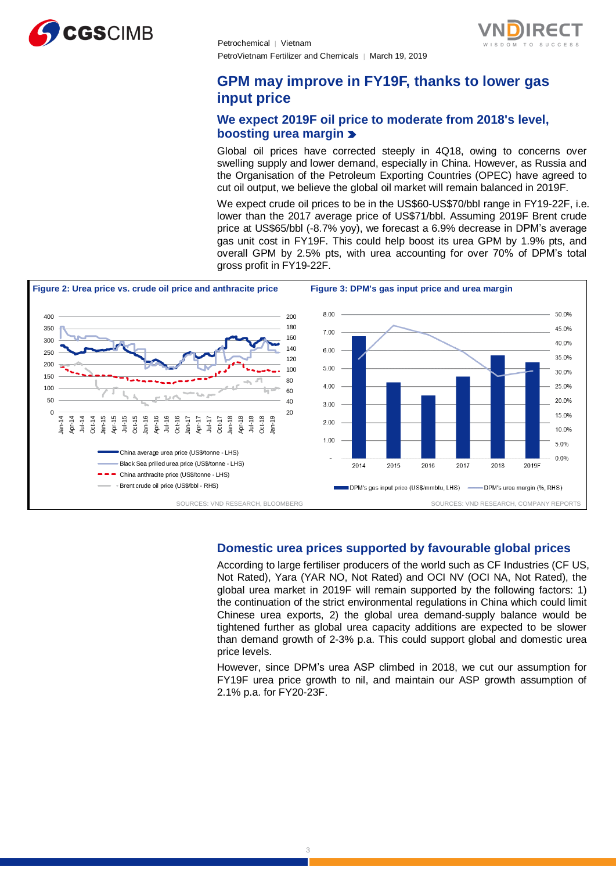



## **GPM may improve in FY19F, thanks to lower gas input price**

#### **We expect 2019F oil price to moderate from 2018's level, boosting urea margin**

Global oil prices have corrected steeply in 4Q18, owing to concerns over swelling supply and lower demand, especially in China. However, as Russia and the Organisation of the Petroleum Exporting Countries (OPEC) have agreed to cut oil output, we believe the global oil market will remain balanced in 2019F.

We expect crude oil prices to be in the US\$60-US\$70/bbl range in FY19-22F, i.e. lower than the 2017 average price of US\$71/bbl. Assuming 2019F Brent crude price at US\$65/bbl (-8.7% yoy), we forecast a 6.9% decrease in DPM's average gas unit cost in FY19F. This could help boost its urea GPM by 1.9% pts, and overall GPM by 2.5% pts, with urea accounting for over 70% of DPM's total gross profit in FY19-22F.



#### **Domestic urea prices supported by favourable global prices**

According to large fertiliser producers of the world such as CF Industries (CF US, Not Rated), Yara (YAR NO, Not Rated) and OCI NV (OCI NA, Not Rated), the global urea market in 2019F will remain supported by the following factors: 1) the continuation of the strict environmental regulations in China which could limit Chinese urea exports, 2) the global urea demand-supply balance would be tightened further as global urea capacity additions are expected to be slower than demand growth of 2-3% p.a. This could support global and domestic urea price levels.

However, since DPM's urea ASP climbed in 2018, we cut our assumption for FY19F urea price growth to nil, and maintain our ASP growth assumption of 2.1% p.a. for FY20-23F.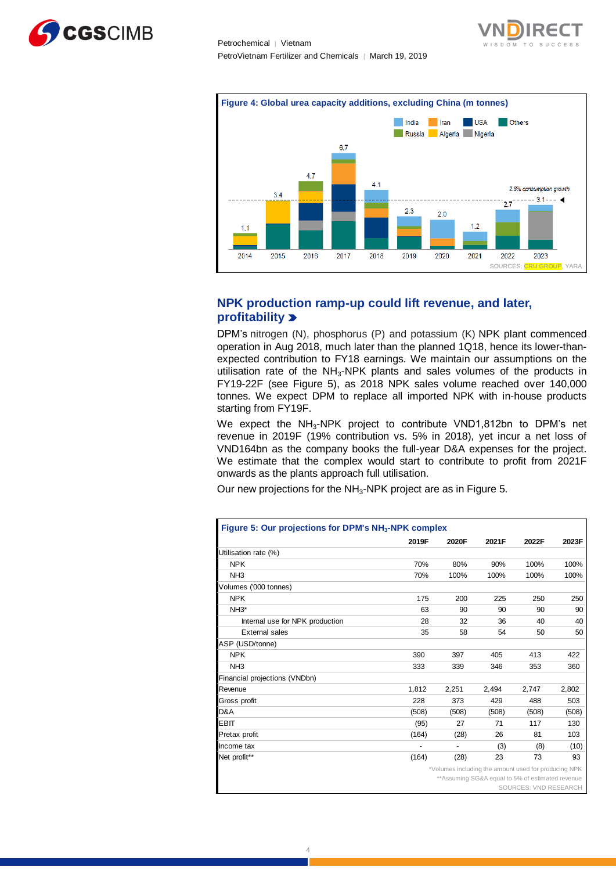





#### **NPK production ramp-up could lift revenue, and later, profitability**

DPM's nitrogen (N), phosphorus (P) and potassium (K) NPK plant commenced operation in Aug 2018, much later than the planned 1Q18, hence its lower-thanexpected contribution to FY18 earnings. We maintain our assumptions on the utilisation rate of the NH<sub>3</sub>-NPK plants and sales volumes of the products in FY19-22F (see Figure 5), as 2018 NPK sales volume reached over 140,000 tonnes. We expect DPM to replace all imported NPK with in-house products starting from FY19F.

We expect the NH<sub>3</sub>-NPK project to contribute VND1,812bn to DPM's net revenue in 2019F (19% contribution vs. 5% in 2018), yet incur a net loss of VND164bn as the company books the full-year D&A expenses for the project. We estimate that the complex would start to contribute to profit from 2021F onwards as the plants approach full utilisation.

Our new projections for the  $NH<sub>3</sub>$ -NPK project are as in Figure 5.

|                                 | 2019F | 2020F                                                | 2021F | 2022F                                             | 2023F |
|---------------------------------|-------|------------------------------------------------------|-------|---------------------------------------------------|-------|
| Utilisation rate (%)            |       |                                                      |       |                                                   |       |
| <b>NPK</b>                      | 70%   | 80%                                                  | 90%   | 100%                                              | 100%  |
| NH <sub>3</sub>                 | 70%   | 100%                                                 | 100%  | 100%                                              | 100%  |
| Volumes ('000 tonnes)           |       |                                                      |       |                                                   |       |
| <b>NPK</b>                      | 175   | 200                                                  | 225   | 250                                               | 250   |
| $NH3*$                          | 63    | 90                                                   | 90    | 90                                                | 90    |
| Internal use for NPK production | 28    | 32                                                   | 36    | 40                                                | 40    |
| <b>External sales</b>           | 35    | 58                                                   | 54    | 50                                                | 50    |
| ASP (USD/tonne)                 |       |                                                      |       |                                                   |       |
| <b>NPK</b>                      | 390   | 397                                                  | 405   | 413                                               | 422   |
| NH <sub>3</sub>                 | 333   | 339                                                  | 346   | 353                                               | 360   |
| Financial projections (VNDbn)   |       |                                                      |       |                                                   |       |
| Revenue                         | 1.812 | 2,251                                                | 2.494 | 2.747                                             | 2,802 |
| Gross profit                    | 228   | 373                                                  | 429   | 488                                               | 503   |
| D&A                             | (508) | (508)                                                | (508) | (508)                                             | (508) |
| <b>EBIT</b>                     | (95)  | 27                                                   | 71    | 117                                               | 130   |
| Pretax profit                   | (164) | (28)                                                 | 26    | 81                                                | 103   |
| Income tax                      |       | ٠                                                    | (3)   | (8)                                               | (10)  |
| Net profit**                    | (164) | (28)                                                 | 23    | 73                                                | 93    |
|                                 |       | *Volumes including the amount used for producing NPK |       |                                                   |       |
|                                 |       |                                                      |       | ** Assuming SG&A equal to 5% of estimated revenue |       |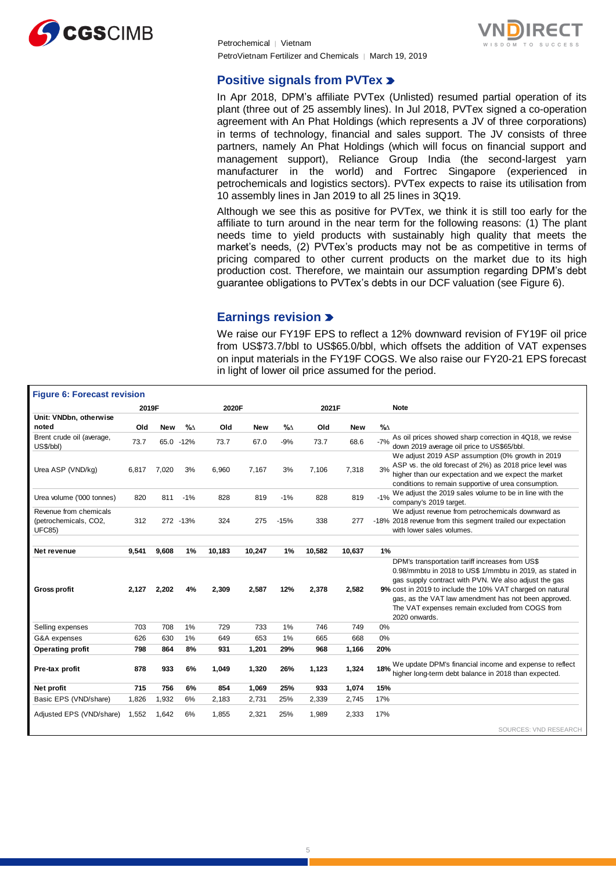

Petrochemical │ Vietnam PetroVietnam Fertilizer and Chemicals ∣ March 19, 2019



#### **Positive signals from PVTex >**

In Apr 2018, DPM's affiliate PVTex (Unlisted) resumed partial operation of its plant (three out of 25 assembly lines). In Jul 2018, PVTex signed a co-operation agreement with An Phat Holdings (which represents a JV of three corporations) in terms of technology, financial and sales support. The JV consists of three partners, namely An Phat Holdings (which will focus on financial support and management support), Reliance Group India (the second-largest yarn manufacturer in the world) and Fortrec Singapore (experienced in petrochemicals and logistics sectors). PVTex expects to raise its utilisation from 10 assembly lines in Jan 2019 to all 25 lines in 3Q19.

Although we see this as positive for PVTex, we think it is still too early for the affiliate to turn around in the near term for the following reasons: (1) The plant needs time to yield products with sustainably high quality that meets the market's needs, (2) PVTex's products may not be as competitive in terms of pricing compared to other current products on the market due to its high production cost. Therefore, we maintain our assumption regarding DPM's debt guarantee obligations to PVTex's debts in our DCF valuation (see Figure 6).

#### **Earnings revision**

We raise our FY19F EPS to reflect a 12% downward revision of FY19F oil price from US\$73.7/bbl to US\$65.0/bbl, which offsets the addition of VAT expenses on input materials in the FY19F COGS. We also raise our FY20-21 EPS forecast in light of lower oil price assumed for the period.

| <b>Figure 6: Forecast revision</b>                               |       |            |           |        |            |        |        |            |                  |                                                                                                                                                                                                                                                                                                                                                              |
|------------------------------------------------------------------|-------|------------|-----------|--------|------------|--------|--------|------------|------------------|--------------------------------------------------------------------------------------------------------------------------------------------------------------------------------------------------------------------------------------------------------------------------------------------------------------------------------------------------------------|
|                                                                  | 2019F |            |           | 2020F  |            |        | 2021F  |            |                  | <b>Note</b>                                                                                                                                                                                                                                                                                                                                                  |
| Unit: VNDbn, otherwise<br>noted                                  | Old   | <b>New</b> | $\%$      | Old    | <b>New</b> | $\%$   | Old    | <b>New</b> | $\%$ $\triangle$ |                                                                                                                                                                                                                                                                                                                                                              |
| Brent crude oil (average,<br>US\$/bbl)                           | 73.7  |            | 65.0 -12% | 73.7   | 67.0       | $-9%$  | 73.7   | 68.6       | $-7%$            | As oil prices showed sharp correction in 4Q18, we revise<br>down 2019 average oil price to US\$65/bbl.                                                                                                                                                                                                                                                       |
| Urea ASP (VND/kg)                                                | 6.817 | 7.020      | 3%        | 6.960  | 7,167      | 3%     | 7,106  | 7,318      | 3%               | We adjust 2019 ASP assumption (0% growth in 2019<br>ASP vs. the old forecast of 2%) as 2018 price level was<br>higher than our expectation and we expect the market<br>conditions to remain supportive of urea consumption.                                                                                                                                  |
| Urea volume ('000 tonnes)                                        | 820   | 811        | $-1%$     | 828    | 819        | $-1%$  | 828    | 819        | $-1%$            | We adjust the 2019 sales volume to be in line with the<br>company's 2019 target.                                                                                                                                                                                                                                                                             |
| Revenue from chemicals<br>(petrochemicals, CO2,<br><b>UFC85)</b> | 312   |            | 272 - 13% | 324    | 275        | $-15%$ | 338    | 277        |                  | We adjust revenue from petrochemicals downward as<br>-18% 2018 revenue from this segment trailed our expectation<br>with lower sales volumes.                                                                                                                                                                                                                |
| Net revenue                                                      | 9,541 | 9,608      | 1%        | 10,183 | 10,247     | 1%     | 10,582 | 10,637     | 1%               |                                                                                                                                                                                                                                                                                                                                                              |
| <b>Gross profit</b>                                              | 2.127 | 2,202      | 4%        | 2,309  | 2,587      | 12%    | 2,378  | 2,582      |                  | DPM's transportation tariff increases from US\$<br>0.98/mmbtu in 2018 to US\$ 1/mmbtu in 2019, as stated in<br>gas supply contract with PVN. We also adjust the gas<br>9% cost in 2019 to include the 10% VAT charged on natural<br>gas, as the VAT law amendment has not been approved.<br>The VAT expenses remain excluded from COGS from<br>2020 onwards. |
| Selling expenses                                                 | 703   | 708        | 1%        | 729    | 733        | 1%     | 746    | 749        | 0%               |                                                                                                                                                                                                                                                                                                                                                              |
| G&A expenses                                                     | 626   | 630        | 1%        | 649    | 653        | 1%     | 665    | 668        | 0%               |                                                                                                                                                                                                                                                                                                                                                              |
| <b>Operating profit</b>                                          | 798   | 864        | 8%        | 931    | 1,201      | 29%    | 968    | 1,166      | 20%              |                                                                                                                                                                                                                                                                                                                                                              |
| Pre-tax profit                                                   | 878   | 933        | 6%        | 1,049  | 1,320      | 26%    | 1,123  | 1,324      | 18%              | We update DPM's financial income and expense to reflect<br>higher long-term debt balance in 2018 than expected.                                                                                                                                                                                                                                              |
| Net profit                                                       | 715   | 756        | 6%        | 854    | 1,069      | 25%    | 933    | 1,074      | 15%              |                                                                                                                                                                                                                                                                                                                                                              |
| Basic EPS (VND/share)                                            | 1,826 | 1,932      | 6%        | 2.183  | 2,731      | 25%    | 2,339  | 2.745      | 17%              |                                                                                                                                                                                                                                                                                                                                                              |
| Adjusted EPS (VND/share)                                         | 1.552 | 1.642      | 6%        | 1.855  | 2,321      | 25%    | 1.989  | 2.333      | 17%              |                                                                                                                                                                                                                                                                                                                                                              |
|                                                                  |       |            |           |        |            |        |        |            |                  | SOURCES: VND RESEARCH                                                                                                                                                                                                                                                                                                                                        |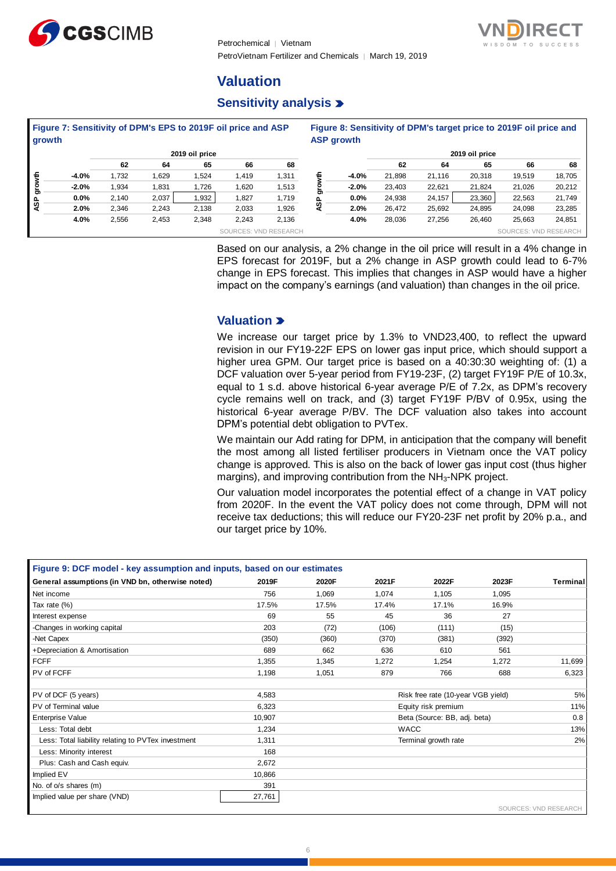

Petrochemical │ Vietnam PetroVietnam Fertilizer and Chemicals ∣ March 19, 2019



## **Valuation**

### **Sensitivity analysis**

| growth |         |       |       | Figure 7: Sensitivity of DPM's EPS to 2019F oil price and ASP |                       |       |   | <b>ASP growth</b> |        |        | Figure 8: Sensitivity of DPM's target price to 2019F oil price and |                       |        |
|--------|---------|-------|-------|---------------------------------------------------------------|-----------------------|-------|---|-------------------|--------|--------|--------------------------------------------------------------------|-----------------------|--------|
|        |         |       |       | 2019 oil price                                                |                       |       |   |                   |        |        | 2019 oil price                                                     |                       |        |
|        |         | 62    | 64    | 65                                                            | 66                    | 68    |   |                   | 62     | 64     | 65                                                                 | 66                    | 68     |
| ŧ      | $-4.0%$ | 1,732 | 1,629 | .524                                                          | 1.419                 | 1,311 | £ | $-4.0%$           | 21.898 | 21,116 | 20,318                                                             | 19,519                | 18,705 |
| o<br>G | $-2.0%$ | 1,934 | 1,831 | 1,726                                                         | 1,620                 | 1,513 |   | $-2.0%$           | 23.403 | 22,621 | 21.824                                                             | 21.026                | 20,212 |
|        | $0.0\%$ | 2.140 | 2.037 | .932                                                          | .827                  | 1,719 |   | $0.0\%$           | 24.938 | 24,157 | 23,360                                                             | 22,563                | 21,749 |
| ASP    | 2.0%    | 2,346 | 2,243 | 2,138                                                         | 2,033                 | 1,926 | n | 2.0%              | 26.472 | 25,692 | 24,895                                                             | 24,098                | 23,285 |
|        | 4.0%    | 2,556 | 2,453 | 2,348                                                         | 2,243                 | 2,136 |   | 4.0%              | 28,036 | 27,256 | 26,460                                                             | 25,663                | 24,851 |
|        |         |       |       |                                                               | SOURCES: VND RESEARCH |       |   |                   |        |        |                                                                    | SOURCES: VND RESEARCH |        |

Based on our analysis, a 2% change in the oil price will result in a 4% change in EPS forecast for 2019F, but a 2% change in ASP growth could lead to 6-7% change in EPS forecast. This implies that changes in ASP would have a higher impact on the company's earnings (and valuation) than changes in the oil price.

#### **Valuation**

We increase our target price by 1.3% to VND23,400, to reflect the upward revision in our FY19-22F EPS on lower gas input price, which should support a higher urea GPM. Our target price is based on a 40:30:30 weighting of: (1) a DCF valuation over 5-year period from FY19-23F, (2) target FY19F P/E of 10.3x, equal to 1 s.d. above historical 6-year average P/E of 7.2x, as DPM's recovery cycle remains well on track, and (3) target FY19F P/BV of 0.95x, using the historical 6-year average P/BV. The DCF valuation also takes into account DPM's potential debt obligation to PVTex.

We maintain our Add rating for DPM, in anticipation that the company will benefit the most among all listed fertiliser producers in Vietnam once the VAT policy change is approved. This is also on the back of lower gas input cost (thus higher margins), and improving contribution from the NH<sub>3</sub>-NPK project.

Our valuation model incorporates the potential effect of a change in VAT policy from 2020F. In the event the VAT policy does not come through, DPM will not receive tax deductions; this will reduce our FY20-23F net profit by 20% p.a., and our target price by 10%.

| Figure 9: DCF model - key assumption and inputs, based on our estimates |        |       |       |                                    |       |                       |
|-------------------------------------------------------------------------|--------|-------|-------|------------------------------------|-------|-----------------------|
| General assumptions (in VND bn, otherwise noted)                        | 2019F  | 2020F | 2021F | 2022F                              | 2023F | Terminal              |
| Net income                                                              | 756    | 1,069 | 1.074 | 1.105                              | 1,095 |                       |
| Tax rate (%)                                                            | 17.5%  | 17.5% | 17.4% | 17.1%                              | 16.9% |                       |
| Interest expense                                                        | 69     | 55    | 45    | 36                                 | 27    |                       |
| -Changes in working capital                                             | 203    | (72)  | (106) | (111)                              | (15)  |                       |
| -Net Capex                                                              | (350)  | (360) | (370) | (381)                              | (392) |                       |
| +Depreciation & Amortisation                                            | 689    | 662   | 636   | 610                                | 561   |                       |
| <b>FCFF</b>                                                             | 1,355  | 1,345 | 1,272 | 1.254                              | 1,272 | 11,699                |
| PV of FCFF                                                              | 1,198  | 1.051 | 879   | 766                                | 688   | 6,323                 |
|                                                                         |        |       |       |                                    |       |                       |
| PV of DCF (5 years)                                                     | 4.583  |       |       | Risk free rate (10-year VGB yield) |       | 5%                    |
| PV of Terminal value                                                    | 6,323  |       |       | Equity risk premium                |       | 11%                   |
| <b>Enterprise Value</b>                                                 | 10,907 |       |       | Beta (Source: BB, adj. beta)       |       | 0.8                   |
| Less: Total debt                                                        | 1,234  |       |       | <b>WACC</b>                        |       | 13%                   |
| Less: Total liability relating to PVTex investment                      | 1,311  |       |       | Terminal growth rate               |       | 2%                    |
| Less: Minority interest                                                 | 168    |       |       |                                    |       |                       |
| Plus: Cash and Cash equiv.                                              | 2,672  |       |       |                                    |       |                       |
| Implied EV                                                              | 10,866 |       |       |                                    |       |                       |
| No. of o/s shares (m)                                                   | 391    |       |       |                                    |       |                       |
| Implied value per share (VND)                                           | 27,761 |       |       |                                    |       |                       |
|                                                                         |        |       |       |                                    |       | SOURCES: VND RESEARCH |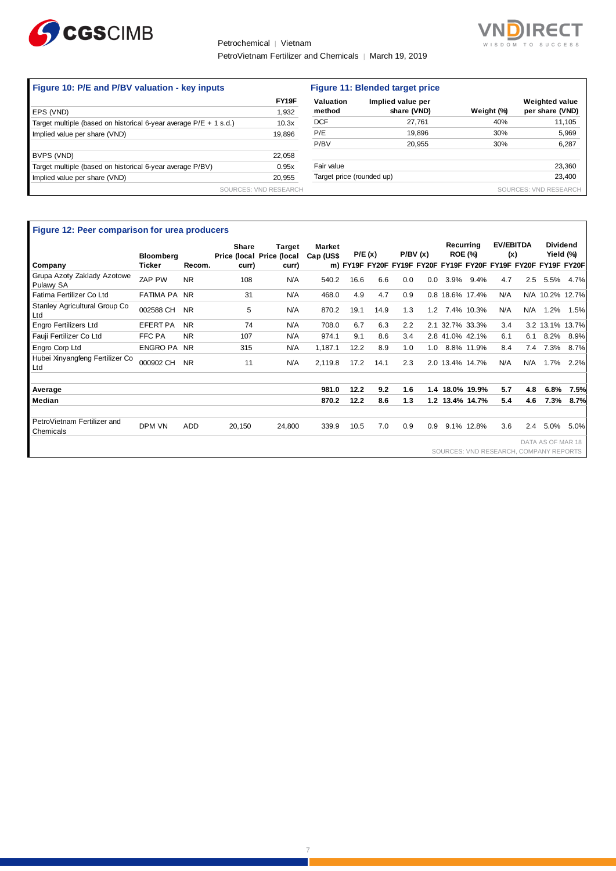

#### Petrochemical │ Vietnam

PetroVietnam Fertilizer and Chemicals | March 19, 2019



|        | Figure 11: Blended target price |                       |                           |                       |  |  |  |  |
|--------|---------------------------------|-----------------------|---------------------------|-----------------------|--|--|--|--|
| FY19F  | Valuation                       | Implied value per     |                           | <b>Weighted value</b> |  |  |  |  |
| 1,932  | method                          | share (VND)           | Weight (%)                | per share (VND)       |  |  |  |  |
| 10.3x  | <b>DCF</b>                      | 27.761                | 40%                       | 11,105                |  |  |  |  |
| 19,896 | P/E                             | 19,896                | 30%                       | 5,969                 |  |  |  |  |
|        | P/BV                            | 20.955                | 30%                       | 6,287                 |  |  |  |  |
| 22,058 |                                 |                       |                           |                       |  |  |  |  |
| 0.95x  | Fair value                      |                       |                           | 23,360                |  |  |  |  |
| 20,955 |                                 |                       |                           | 23,400                |  |  |  |  |
|        |                                 |                       |                           | SOURCES: VND RESEARCH |  |  |  |  |
|        |                                 | SOURCES: VND RESEARCH | Target price (rounded up) |                       |  |  |  |  |

| Figure 12: Peer comparison for urea producers | <b>Bloomberg</b> |           | Share<br>Price (local Price (local | <b>Target</b> | Market<br>Cap (US\$ | P/E(x) |      |     | P/BV(x) | Recurrina | <b>ROE (%)</b>  | <b>EV/EBITDA</b><br>(x)                |     |                   | <b>Dividend</b><br>Yield (%)                                   |
|-----------------------------------------------|------------------|-----------|------------------------------------|---------------|---------------------|--------|------|-----|---------|-----------|-----------------|----------------------------------------|-----|-------------------|----------------------------------------------------------------|
| Company                                       | Ticker           | Recom.    | curr)                              | curr)         |                     |        |      |     |         |           |                 |                                        |     |                   | m) FY19F FY20F FY19F FY20F FY19F FY20F FY19F FY20F FY19F FY20F |
| Grupa Azoty Zaklady Azotowe<br>Pulawy SA      | ZAP PW           | <b>NR</b> | 108                                | N/A           | 540.2               | 16.6   | 6.6  | 0.0 | 0.0     | 3.9%      | 9.4%            | 4.7                                    | 2.5 | 5.5%              | 4.7%                                                           |
| Fatima Fertilizer Co Ltd                      | FATIMA PA NR     |           | 31                                 | N/A           | 468.0               | 4.9    | 4.7  | 0.9 |         |           | 0.8 18.6% 17.4% | N/A                                    |     |                   | N/A 10.2% 12.7%                                                |
| Stanley Agricultural Group Co<br>Ltd          | 002588 CH        | <b>NR</b> | 5                                  | N/A           | 870.2               | 19.1   | 14.9 | 1.3 | 1.2     |           | 7.4% 10.3%      | N/A                                    | N/A | 1.2%              | 1.5%                                                           |
| <b>Engro Fertilizers Ltd</b>                  | <b>EFERT PA</b>  | <b>NR</b> | 74                                 | N/A           | 708.0               | 6.7    | 6.3  | 2.2 |         |           | 2.1 32.7% 33.3% | 3.4                                    |     |                   | 3.2 13.1% 13.7%                                                |
| Fauji Fertilizer Co Ltd                       | FFC PA           | NR.       | 107                                | N/A           | 974.1               | 9.1    | 8.6  | 3.4 |         |           | 2.8 41.0% 42.1% | 6.1                                    | 6.1 | 8.2%              | 8.9%                                                           |
| Engro Corp Ltd                                | ENGRO PA NR      |           | 315                                | N/A           | 1.187.1             | 12.2   | 8.9  | 1.0 | 1.0     |           | 8.8% 11.9%      | 8.4                                    | 7.4 | 7.3%              | 8.7%                                                           |
| Hubei Xinyangfeng Fertilizer Co<br>Ltd        | 000902 CH        | <b>NR</b> | 11                                 | N/A           | 2,119.8             | 17.2   | 14.1 | 2.3 |         |           | 2.0 13.4% 14.7% | N/A                                    | N/A | 1.7%              | 2.2%                                                           |
|                                               |                  |           |                                    |               |                     |        |      |     |         |           |                 |                                        |     |                   |                                                                |
| Average                                       |                  |           |                                    |               | 981.0               | 12.2   | 9.2  | 1.6 |         |           | 1.4 18.0% 19.9% | 5.7                                    | 4.8 | 6.8%              | 7.5%                                                           |
| Median                                        |                  |           |                                    |               | 870.2               | 12.2   | 8.6  | 1.3 |         |           | 1.2 13.4% 14.7% | 5.4                                    | 4.6 | 7.3%              | 8.7%                                                           |
| PetroVietnam Fertilizer and<br>Chemicals      | DPM VN           | ADD       | 20,150                             | 24,800        | 339.9               | 10.5   | 7.0  | 0.9 | 0.9     |           | 9.1% 12.8%      | 3.6                                    | 2.4 | 5.0%              | 5.0%                                                           |
|                                               |                  |           |                                    |               |                     |        |      |     |         |           |                 | SOURCES: VND RESEARCH, COMPANY REPORTS |     | DATA AS OF MAR 18 |                                                                |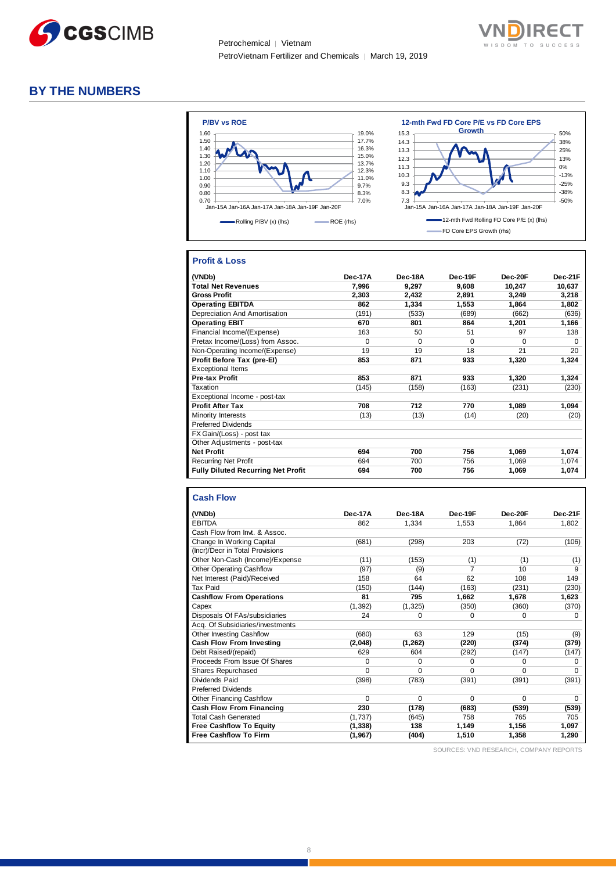



#### **BY THE NUMBERS**



#### **Profit & Loss**

| (VNDb)                                    | <b>Dec-17A</b> | Dec-18A  | Dec-19F  | Dec-20F  | Dec-21F  |
|-------------------------------------------|----------------|----------|----------|----------|----------|
| <b>Total Net Revenues</b>                 | 7,996          | 9,297    | 9,608    | 10,247   | 10,637   |
| <b>Gross Profit</b>                       | 2,303          | 2,432    | 2,891    | 3,249    | 3,218    |
| <b>Operating EBITDA</b>                   | 862            | 1,334    | 1.553    | 1,864    | 1,802    |
| Depreciation And Amortisation             | (191)          | (533)    | (689)    | (662)    | (636)    |
| <b>Operating EBIT</b>                     | 670            | 801      | 864      | 1,201    | 1,166    |
| Financial Income/(Expense)                | 163            | 50       | 51       | 97       | 138      |
| Pretax Income/(Loss) from Assoc.          | $\Omega$       | $\Omega$ | $\Omega$ | $\Omega$ | $\Omega$ |
| Non-Operating Income/(Expense)            | 19             | 19       | 18       | 21       | 20       |
| Profit Before Tax (pre-El)                | 853            | 871      | 933      | 1,320    | 1.324    |
| <b>Exceptional Items</b>                  |                |          |          |          |          |
| <b>Pre-tax Profit</b>                     | 853            | 871      | 933      | 1,320    | 1,324    |
| Taxation                                  | (145)          | (158)    | (163)    | (231)    | (230)    |
| Exceptional Income - post-tax             |                |          |          |          |          |
| <b>Profit After Tax</b>                   | 708            | 712      | 770      | 1,089    | 1,094    |
| Minority Interests                        | (13)           | (13)     | (14)     | (20)     | (20)     |
| <b>Preferred Dividends</b>                |                |          |          |          |          |
| FX Gain/(Loss) - post tax                 |                |          |          |          |          |
| Other Adjustments - post-tax              |                |          |          |          |          |
| <b>Net Profit</b>                         | 694            | 700      | 756      | 1,069    | 1,074    |
| <b>Recurring Net Profit</b>               | 694            | 700      | 756      | 1,069    | 1,074    |
| <b>Fully Diluted Recurring Net Profit</b> | 694            | 700      | 756      | 1,069    | 1,074    |

#### **Cash Flow**

| (VNDb)                           | Dec-17A  | Dec-18A  | Dec-19F  | Dec-20F  | Dec-21F  |
|----------------------------------|----------|----------|----------|----------|----------|
| <b>EBITDA</b>                    | 862      | 1,334    | 1,553    | 1,864    | 1,802    |
| Cash Flow from Invt. & Assoc.    |          |          |          |          |          |
| Change In Working Capital        | (681)    | (298)    | 203      | (72)     | (106)    |
| (Incr)/Decr in Total Provisions  |          |          |          |          |          |
| Other Non-Cash (Income)/Expense  | (11)     | (153)    | (1)      | (1)      | (1)      |
| <b>Other Operating Cashflow</b>  | (97)     | (9)      | 7        | 10       | 9        |
| Net Interest (Paid)/Received     | 158      | 64       | 62       | 108      | 149      |
| Tax Paid                         | (150)    | (144)    | (163)    | (231)    | (230)    |
| <b>Cashflow From Operations</b>  | 81       | 795      | 1.662    | 1.678    | 1,623    |
| Capex                            | (1, 392) | (1, 325) | (350)    | (360)    | (370)    |
| Disposals Of FAs/subsidiaries    | 24       | 0        | $\Omega$ | 0        | 0        |
| Acq. Of Subsidiaries/investments |          |          |          |          |          |
| Other Investing Cashflow         | (680)    | 63       | 129      | (15)     | (9)      |
| <b>Cash Flow From Investing</b>  | (2,048)  | (1, 262) | (220)    | (374)    | (379)    |
| Debt Raised/(repaid)             | 629      | 604      | (292)    | (147)    | (147)    |
| Proceeds From Issue Of Shares    | 0        | $\Omega$ | 0        | $\Omega$ | O        |
| Shares Repurchased               | $\Omega$ | $\Omega$ | $\Omega$ | $\Omega$ | O        |
| Dividends Paid                   | (398)    | (783)    | (391)    | (391)    | (391)    |
| <b>Preferred Dividends</b>       |          |          |          |          |          |
| Other Financing Cashflow         | $\Omega$ | 0        | $\Omega$ | $\Omega$ | $\Omega$ |
| <b>Cash Flow From Financing</b>  | 230      | (178)    | (683)    | (539)    | (539)    |
| <b>Total Cash Generated</b>      | (1,737)  | (645)    | 758      | 765      | 705      |
| <b>Free Cashflow To Equity</b>   | (1, 338) | 138      | 1,149    | 1,156    | 1,097    |
| <b>Free Cashflow To Firm</b>     | (1, 967) | (404)    | 1,510    | 1,358    | 1,290    |

SOURCES: VND RESEARCH, COMPANY REPORTS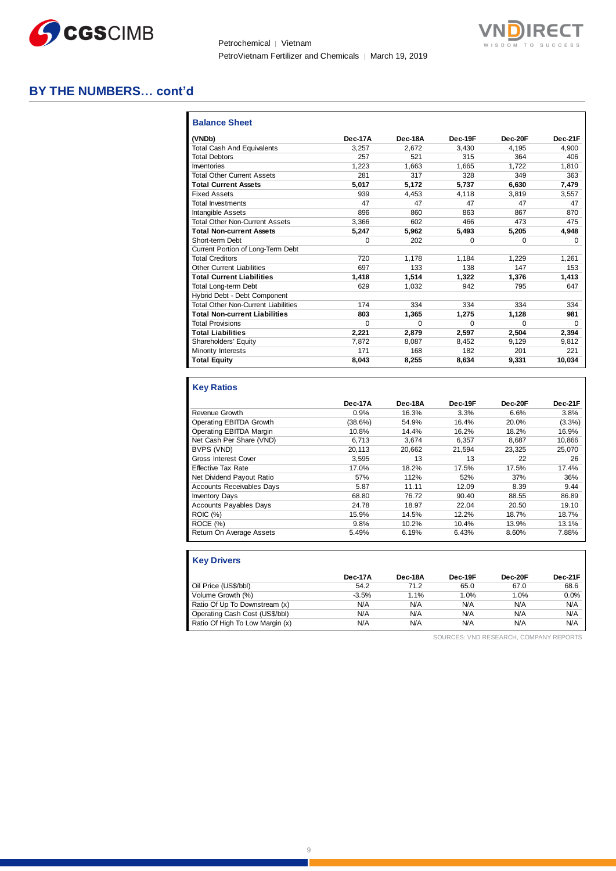

Petrochemical | Vietnam PetroVietnam Fertilizer and Chemicals | March 19, 2019



#### **BY THE NUMBERS… cont'd**

| <b>Balance Sheet</b>                       |          |          |          |          |              |
|--------------------------------------------|----------|----------|----------|----------|--------------|
| (VNDb)                                     | Dec-17A  | Dec-18A  | Dec-19F  | Dec-20F  | Dec-21F      |
| <b>Total Cash And Equivalents</b>          | 3.257    | 2.672    | 3.430    | 4.195    | 4.900        |
| <b>Total Debtors</b>                       | 257      | 521      | 315      | 364      | 406          |
| Inventories                                | 1,223    | 1,663    | 1.665    | 1,722    | 1,810        |
| <b>Total Other Current Assets</b>          | 281      | 317      | 328      | 349      | 363          |
| <b>Total Current Assets</b>                | 5.017    | 5.172    | 5.737    | 6.630    | 7.479        |
| <b>Fixed Assets</b>                        | 939      | 4.453    | 4.118    | 3.819    | 3,557        |
| <b>Total Investments</b>                   | 47       | 47       | 47       | 47       | 47           |
| <b>Intangible Assets</b>                   | 896      | 860      | 863      | 867      | 870          |
| <b>Total Other Non-Current Assets</b>      | 3.366    | 602      | 466      | 473      | 475          |
| <b>Total Non-current Assets</b>            | 5.247    | 5.962    | 5.493    | 5,205    | 4,948        |
| Short-term Debt                            | 0        | 202      | $\Omega$ | $\Omega$ | <sup>0</sup> |
| Current Portion of Long-Term Debt          |          |          |          |          |              |
| <b>Total Creditors</b>                     | 720      | 1.178    | 1.184    | 1.229    | 1.261        |
| <b>Other Current Liabilities</b>           | 697      | 133      | 138      | 147      | 153          |
| <b>Total Current Liabilities</b>           | 1,418    | 1.514    | 1.322    | 1,376    | 1,413        |
| <b>Total Long-term Debt</b>                | 629      | 1.032    | 942      | 795      | 647          |
| Hybrid Debt - Debt Component               |          |          |          |          |              |
| <b>Total Other Non-Current Liabilities</b> | 174      | 334      | 334      | 334      | 334          |
| <b>Total Non-current Liabilities</b>       | 803      | 1.365    | 1.275    | 1,128    | 981          |
| <b>Total Provisions</b>                    | $\Omega$ | $\Omega$ | $\Omega$ | $\Omega$ | <sup>0</sup> |
| <b>Total Liabilities</b>                   | 2.221    | 2.879    | 2,597    | 2.504    | 2,394        |
| Shareholders' Equity                       | 7,872    | 8.087    | 8.452    | 9.129    | 9.812        |
| Minority Interests                         | 171      | 168      | 182      | 201      | 221          |
| <b>Total Equity</b>                        | 8,043    | 8,255    | 8,634    | 9,331    | 10,034       |

#### **Key Ratios**

|                                  | Dec-17A | Dec-18A | Dec-19F | Dec-20F | Dec-21F   |
|----------------------------------|---------|---------|---------|---------|-----------|
| Revenue Growth                   | 0.9%    | 16.3%   | 3.3%    | 6.6%    | 3.8%      |
| Operating EBITDA Growth          | (38.6%) | 54.9%   | 16.4%   | 20.0%   | $(3.3\%)$ |
| Operating EBITDA Margin          | 10.8%   | 14.4%   | 16.2%   | 18.2%   | 16.9%     |
| Net Cash Per Share (VND)         | 6.713   | 3.674   | 6.357   | 8.687   | 10,866    |
| BVPS (VND)                       | 20.113  | 20.662  | 21.594  | 23.325  | 25,070    |
| <b>Gross Interest Cover</b>      | 3.595   | 13      | 13      | 22      | 26        |
| <b>Effective Tax Rate</b>        | 17.0%   | 18.2%   | 17.5%   | 17.5%   | 17.4%     |
| Net Dividend Payout Ratio        | 57%     | 112%    | 52%     | 37%     | 36%       |
| <b>Accounts Receivables Days</b> | 5.87    | 11.11   | 12.09   | 8.39    | 9.44      |
| <b>Inventory Days</b>            | 68.80   | 76.72   | 90.40   | 88.55   | 86.89     |
| Accounts Payables Days           | 24.78   | 18.97   | 22.04   | 20.50   | 19.10     |
| <b>ROIC</b> (%)                  | 15.9%   | 14.5%   | 12.2%   | 18.7%   | 18.7%     |
| ROCE (%)                         | 9.8%    | 10.2%   | 10.4%   | 13.9%   | 13.1%     |
| Return On Average Assets         | 5.49%   | 6.19%   | 6.43%   | 8.60%   | 7.88%     |

| <b>Key Drivers</b>              |         |         |         |         |         |
|---------------------------------|---------|---------|---------|---------|---------|
|                                 | Dec-17A | Dec-18A | Dec-19F | Dec-20F | Dec-21F |
| Oil Price (US\$/bbl)            | 54.2    | 71.2    | 65.0    | 67.0    | 68.6    |
| Volume Growth (%)               | $-3.5%$ | 1.1%    | 1.0%    | 1.0%    | 0.0%    |
| Ratio Of Up To Downstream (x)   | N/A     | N/A     | N/A     | N/A     | N/A     |
| Operating Cash Cost (US\$/bbl)  | N/A     | N/A     | N/A     | N/A     | N/A     |
| Ratio Of High To Low Margin (x) | N/A     | N/A     | N/A     | N/A     | N/A     |

SOURCES: VND RESEARCH, COMPANY REPORTS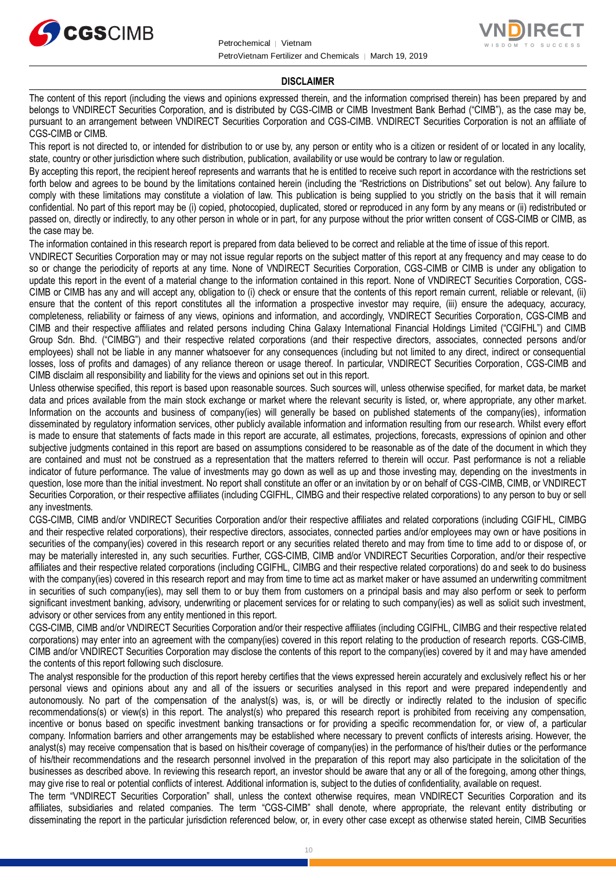



#### **DISCLAIMER**

The content of this report (including the views and opinions expressed therein, and the information comprised therein) has been prepared by and belongs to VNDIRECT Securities Corporation, and is distributed by CGS-CIMB or CIMB Investment Bank Berhad ("CIMB"), as the case may be, pursuant to an arrangement between VNDIRECT Securities Corporation and CGS-CIMB. VNDIRECT Securities Corporation is not an affiliate of CGS-CIMB or CIMB.

This report is not directed to, or intended for distribution to or use by, any person or entity who is a citizen or resident of or located in any locality, state, country or other jurisdiction where such distribution, publication, availability or use would be contrary to law or regulation.

By accepting this report, the recipient hereof represents and warrants that he is entitled to receive such report in accordance with the restrictions set forth below and agrees to be bound by the limitations contained herein (including the "Restrictions on Distributions" set out below). Any failure to comply with these limitations may constitute a violation of law. This publication is being supplied to you strictly on the basis that it will remain confidential. No part of this report may be (i) copied, photocopied, duplicated, stored or reproduced in any form by any means or (ii) redistributed or passed on, directly or indirectly, to any other person in whole or in part, for any purpose without the prior written consent of CGS-CIMB or CIMB, as the case may be.

The information contained in this research report is prepared from data believed to be correct and reliable at the time of issue of this report.

VNDIRECT Securities Corporation may or may not issue regular reports on the subject matter of this report at any frequency and may cease to do so or change the periodicity of reports at any time. None of VNDIRECT Securities Corporation, CGS-CIMB or CIMB is under any obligation to update this report in the event of a material change to the information contained in this report. None of VNDIRECT Securities Corporation, CGS-CIMB or CIMB has any and will accept any, obligation to (i) check or ensure that the contents of this report remain current, reliable or relevant, (ii) ensure that the content of this report constitutes all the information a prospective investor may require, (iii) ensure the adequacy, accuracy, completeness, reliability or fairness of any views, opinions and information, and accordingly, VNDIRECT Securities Corporation, CGS-CIMB and CIMB and their respective affiliates and related persons including China Galaxy International Financial Holdings Limited ("CGIFHL") and CIMB Group Sdn. Bhd. ("CIMBG") and their respective related corporations (and their respective directors, associates, connected persons and/or employees) shall not be liable in any manner whatsoever for any consequences (including but not limited to any direct, indirect or consequential losses, loss of profits and damages) of any reliance thereon or usage thereof. In particular, VNDIRECT Securities Corporation, CGS-CIMB and CIMB disclaim all responsibility and liability for the views and opinions set out in this report.

Unless otherwise specified, this report is based upon reasonable sources. Such sources will, unless otherwise specified, for market data, be market data and prices available from the main stock exchange or market where the relevant security is listed, or, where appropriate, any other market. Information on the accounts and business of company(ies) will generally be based on published statements of the company(ies), information disseminated by regulatory information services, other publicly available information and information resulting from our research. Whilst every effort is made to ensure that statements of facts made in this report are accurate, all estimates, projections, forecasts, expressions of opinion and other subjective judgments contained in this report are based on assumptions considered to be reasonable as of the date of the document in which they are contained and must not be construed as a representation that the matters referred to therein will occur. Past performance is not a reliable indicator of future performance. The value of investments may go down as well as up and those investing may, depending on the investments in question, lose more than the initial investment. No report shall constitute an offer or an invitation by or on behalf of CGS-CIMB, CIMB, or VNDIRECT Securities Corporation, or their respective affiliates (including CGIFHL, CIMBG and their respective related corporations) to any person to buy or sell any investments.

CGS-CIMB, CIMB and/or VNDIRECT Securities Corporation and/or their respective affiliates and related corporations (including CGIFHL, CIMBG and their respective related corporations), their respective directors, associates, connected parties and/or employees may own or have positions in securities of the company(ies) covered in this research report or any securities related thereto and may from time to time add to or dispose of, or may be materially interested in, any such securities. Further, CGS-CIMB, CIMB and/or VNDIRECT Securities Corporation, and/or their respective affiliates and their respective related corporations (including CGIFHL, CIMBG and their respective related corporations) do and seek to do business with the company(ies) covered in this research report and may from time to time act as market maker or have assumed an underwriting commitment in securities of such company(ies), may sell them to or buy them from customers on a principal basis and may also perform or seek to perform significant investment banking, advisory, underwriting or placement services for or relating to such company(ies) as well as solicit such investment, advisory or other services from any entity mentioned in this report.

CGS-CIMB, CIMB and/or VNDIRECT Securities Corporation and/or their respective affiliates (including CGIFHL, CIMBG and their respective related corporations) may enter into an agreement with the company(ies) covered in this report relating to the production of research reports. CGS-CIMB, CIMB and/or VNDIRECT Securities Corporation may disclose the contents of this report to the company(ies) covered by it and may have amended the contents of this report following such disclosure.

The analyst responsible for the production of this report hereby certifies that the views expressed herein accurately and exclusively reflect his or her personal views and opinions about any and all of the issuers or securities analysed in this report and were prepared independently and autonomously. No part of the compensation of the analyst(s) was, is, or will be directly or indirectly related to the inclusion of specific recommendations(s) or view(s) in this report. The analyst(s) who prepared this research report is prohibited from receiving any compensation, incentive or bonus based on specific investment banking transactions or for providing a specific recommendation for, or view of, a particular company. Information barriers and other arrangements may be established where necessary to prevent conflicts of interests arising. However, the analyst(s) may receive compensation that is based on his/their coverage of company(ies) in the performance of his/their duties or the performance of his/their recommendations and the research personnel involved in the preparation of this report may also participate in the solicitation of the businesses as described above. In reviewing this research report, an investor should be aware that any or all of the foregoing, among other things, may give rise to real or potential conflicts of interest. Additional information is, subject to the duties of confidentiality, available on request.

The term "VNDIRECT Securities Corporation" shall, unless the context otherwise requires, mean VNDIRECT Securities Corporation and its affiliates, subsidiaries and related companies. The term "CGS-CIMB" shall denote, where appropriate, the relevant entity distributing or disseminating the report in the particular jurisdiction referenced below, or, in every other case except as otherwise stated herein, CIMB Securities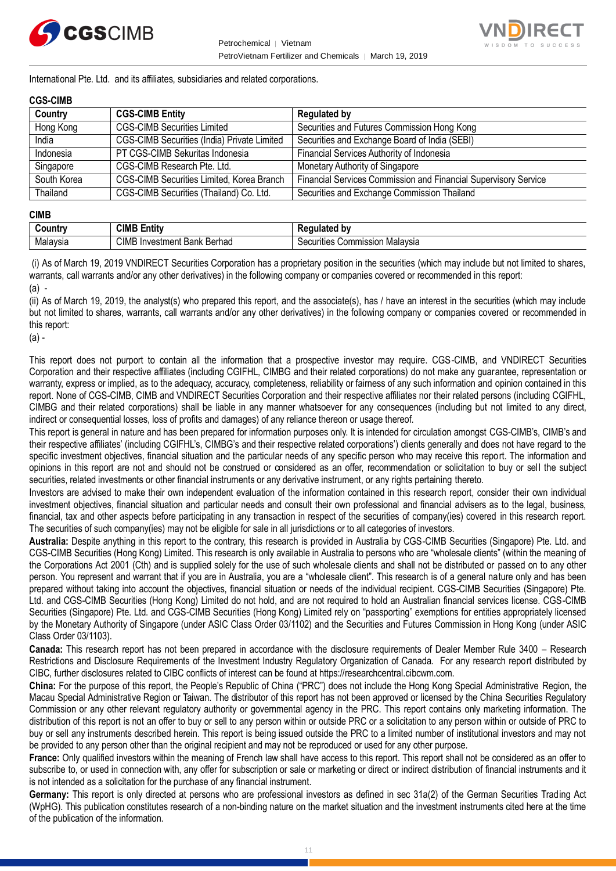



International Pte. Ltd. and its affiliates, subsidiaries and related corporations.

#### **CGS-CIMB**

| Country     | <b>CGS-CIMB Entity</b>                             | <b>Regulated by</b>                                             |
|-------------|----------------------------------------------------|-----------------------------------------------------------------|
| Hong Kong   | <b>CGS-CIMB Securities Limited</b>                 | Securities and Futures Commission Hong Kong                     |
| India       | <b>CGS-CIMB Securities (India) Private Limited</b> | Securities and Exchange Board of India (SEBI)                   |
| Indonesia   | PT CGS-CIMB Sekuritas Indonesia                    | Financial Services Authority of Indonesia                       |
| Singapore   | CGS-CIMB Research Pte. Ltd.                        | Monetary Authority of Singapore                                 |
| South Korea | CGS-CIMB Securities Limited, Korea Branch          | Financial Services Commission and Financial Supervisory Service |
| Thailand    | CGS-CIMB Securities (Thailand) Co. Ltd.            | Securities and Exchange Commission Thailand                     |

#### **CIMB**

| ,ountr∨  | CIMB Ei<br><br>Entity              | . .<br>10000<br>bv<br>uiated      |
|----------|------------------------------------|-----------------------------------|
| Malavsia | CIMB<br>Berhad<br>√Investment Bank | Commission Malaysia<br>Securities |

(i) As of March 19, 2019 VNDIRECT Securities Corporation has a proprietary position in the securities (which may include but not limited to shares, warrants, call warrants and/or any other derivatives) in the following company or companies covered or recommended in this report: (a) -

(ii) As of March 19, 2019, the analyst(s) who prepared this report, and the associate(s), has / have an interest in the securities (which may include but not limited to shares, warrants, call warrants and/or any other derivatives) in the following company or companies covered or recommended in this report:

 $(a)$  -

This report does not purport to contain all the information that a prospective investor may require. CGS-CIMB, and VNDIRECT Securities Corporation and their respective affiliates (including CGIFHL, CIMBG and their related corporations) do not make any guarantee, representation or warranty, express or implied, as to the adequacy, accuracy, completeness, reliability or fairness of any such information and opinion contained in this report. None of CGS-CIMB, CIMB and VNDIRECT Securities Corporation and their respective affiliates nor their related persons (including CGIFHL, CIMBG and their related corporations) shall be liable in any manner whatsoever for any consequences (including but not limited to any direct, indirect or consequential losses, loss of profits and damages) of any reliance thereon or usage thereof.

This report is general in nature and has been prepared for information purposes only. It is intended for circulation amongst CGS-CIMB's, CIMB's and their respective affiliates' (including CGIFHL's, CIMBG's and their respective related corporations') clients generally and does not have regard to the specific investment objectives, financial situation and the particular needs of any specific person who may receive this report. The information and opinions in this report are not and should not be construed or considered as an offer, recommendation or solicitation to buy or sell the subject securities, related investments or other financial instruments or any derivative instrument, or any rights pertaining thereto.

Investors are advised to make their own independent evaluation of the information contained in this research report, consider their own individual investment objectives, financial situation and particular needs and consult their own professional and financial advisers as to the legal, business, financial, tax and other aspects before participating in any transaction in respect of the securities of company(ies) covered in this research report. The securities of such company(ies) may not be eligible for sale in all jurisdictions or to all categories of investors.

**Australia:** Despite anything in this report to the contrary, this research is provided in Australia by CGS-CIMB Securities (Singapore) Pte. Ltd. and CGS-CIMB Securities (Hong Kong) Limited. This research is only available in Australia to persons who are "wholesale clients" (within the meaning of the Corporations Act 2001 (Cth) and is supplied solely for the use of such wholesale clients and shall not be distributed or passed on to any other person. You represent and warrant that if you are in Australia, you are a "wholesale client". This research is of a general nature only and has been prepared without taking into account the objectives, financial situation or needs of the individual recipient. CGS-CIMB Securities (Singapore) Pte. Ltd. and CGS-CIMB Securities (Hong Kong) Limited do not hold, and are not required to hold an Australian financial services license. CGS-CIMB Securities (Singapore) Pte. Ltd. and CGS-CIMB Securities (Hong Kong) Limited rely on "passporting" exemptions for entities appropriately licensed by the Monetary Authority of Singapore (under ASIC Class Order 03/1102) and the Securities and Futures Commission in Hong Kong (under ASIC Class Order 03/1103).

**Canada:** This research report has not been prepared in accordance with the disclosure requirements of Dealer Member Rule 3400 – Research Restrictions and Disclosure Requirements of the Investment Industry Regulatory Organization of Canada. For any research report distributed by CIBC, further disclosures related to CIBC conflicts of interest can be found at https://researchcentral.cibcwm.com.

**China:** For the purpose of this report, the People's Republic of China ("PRC") does not include the Hong Kong Special Administrative Region, the Macau Special Administrative Region or Taiwan. The distributor of this report has not been approved or licensed by the China Securities Regulatory Commission or any other relevant regulatory authority or governmental agency in the PRC. This report contains only marketing information. The distribution of this report is not an offer to buy or sell to any person within or outside PRC or a solicitation to any person within or outside of PRC to buy or sell any instruments described herein. This report is being issued outside the PRC to a limited number of institutional investors and may not be provided to any person other than the original recipient and may not be reproduced or used for any other purpose.

**France:** Only qualified investors within the meaning of French law shall have access to this report. This report shall not be considered as an offer to subscribe to, or used in connection with, any offer for subscription or sale or marketing or direct or indirect distribution of financial instruments and it is not intended as a solicitation for the purchase of any financial instrument.

**Germany:** This report is only directed at persons who are professional investors as defined in sec 31a(2) of the German Securities Trading Act (WpHG). This publication constitutes research of a non-binding nature on the market situation and the investment instruments cited here at the time of the publication of the information.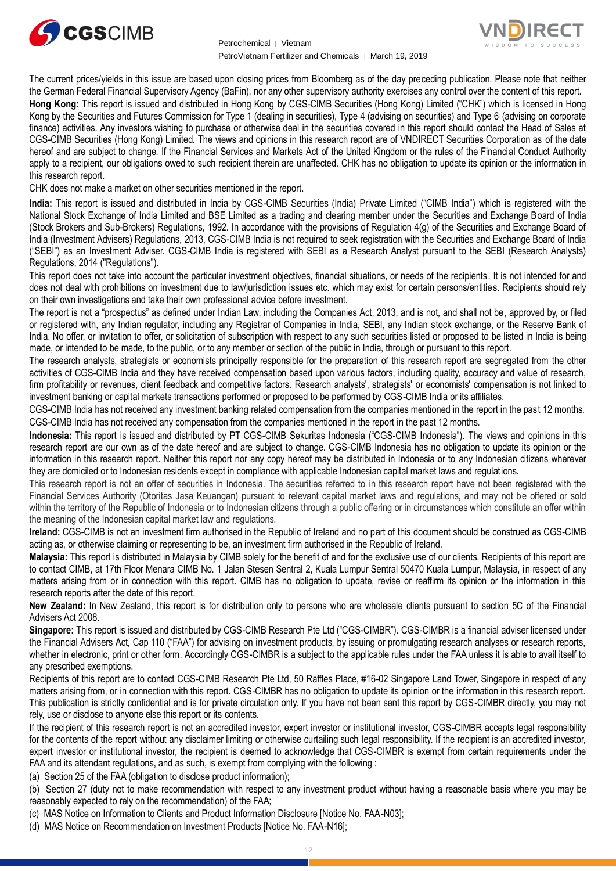



The current prices/yields in this issue are based upon closing prices from Bloomberg as of the day preceding publication. Please note that neither the German Federal Financial Supervisory Agency (BaFin), nor any other supervisory authority exercises any control over the content of this report. **Hong Kong:** This report is issued and distributed in Hong Kong by CGS-CIMB Securities (Hong Kong) Limited ("CHK") which is licensed in Hong Kong by the Securities and Futures Commission for Type 1 (dealing in securities), Type 4 (advising on securities) and Type 6 (advising on corporate finance) activities. Any investors wishing to purchase or otherwise deal in the securities covered in this report should contact the Head of Sales at CGS-CIMB Securities (Hong Kong) Limited. The views and opinions in this research report are of VNDIRECT Securities Corporation as of the date hereof and are subject to change. If the Financial Services and Markets Act of the United Kingdom or the rules of the Financial Conduct Authority

apply to a recipient, our obligations owed to such recipient therein are unaffected. CHK has no obligation to update its opinion or the information in

this research report. CHK does not make a market on other securities mentioned in the report.

**India:** This report is issued and distributed in India by CGS-CIMB Securities (India) Private Limited ("CIMB India") which is registered with the National Stock Exchange of India Limited and BSE Limited as a trading and clearing member under the Securities and Exchange Board of India (Stock Brokers and Sub-Brokers) Regulations, 1992. In accordance with the provisions of Regulation 4(g) of the Securities and Exchange Board of India (Investment Advisers) Regulations, 2013, CGS-CIMB India is not required to seek registration with the Securities and Exchange Board of India ("SEBI") as an Investment Adviser. CGS-CIMB India is registered with SEBI as a Research Analyst pursuant to the SEBI (Research Analysts) Regulations, 2014 ("Regulations").

This report does not take into account the particular investment objectives, financial situations, or needs of the recipients. It is not intended for and does not deal with prohibitions on investment due to law/jurisdiction issues etc. which may exist for certain persons/entities. Recipients should rely on their own investigations and take their own professional advice before investment.

The report is not a "prospectus" as defined under Indian Law, including the Companies Act, 2013, and is not, and shall not be, approved by, or filed or registered with, any Indian regulator, including any Registrar of Companies in India, SEBI, any Indian stock exchange, or the Reserve Bank of India. No offer, or invitation to offer, or solicitation of subscription with respect to any such securities listed or proposed to be listed in India is being made, or intended to be made, to the public, or to any member or section of the public in India, through or pursuant to this report.

The research analysts, strategists or economists principally responsible for the preparation of this research report are segregated from the other activities of CGS-CIMB India and they have received compensation based upon various factors, including quality, accuracy and value of research, firm profitability or revenues, client feedback and competitive factors. Research analysts', strategists' or economists' compensation is not linked to investment banking or capital markets transactions performed or proposed to be performed by CGS-CIMB India or its affiliates.

CGS-CIMB India has not received any investment banking related compensation from the companies mentioned in the report in the past 12 months. CGS-CIMB India has not received any compensation from the companies mentioned in the report in the past 12 months.

**Indonesia:** This report is issued and distributed by PT CGS-CIMB Sekuritas Indonesia ("CGS-CIMB Indonesia"). The views and opinions in this research report are our own as of the date hereof and are subject to change. CGS-CIMB Indonesia has no obligation to update its opinion or the information in this research report. Neither this report nor any copy hereof may be distributed in Indonesia or to any Indonesian citizens wherever they are domiciled or to Indonesian residents except in compliance with applicable Indonesian capital market laws and regulations.

This research report is not an offer of securities in Indonesia. The securities referred to in this research report have not been registered with the Financial Services Authority (Otoritas Jasa Keuangan) pursuant to relevant capital market laws and regulations, and may not be offered or sold within the territory of the Republic of Indonesia or to Indonesian citizens through a public offering or in circumstances which constitute an offer within the meaning of the Indonesian capital market law and regulations.

**Ireland:** CGS-CIMB is not an investment firm authorised in the Republic of Ireland and no part of this document should be construed as CGS-CIMB acting as, or otherwise claiming or representing to be, an investment firm authorised in the Republic of Ireland.

**Malaysia:** This report is distributed in Malaysia by CIMB solely for the benefit of and for the exclusive use of our clients. Recipients of this report are to contact CIMB, at 17th Floor Menara CIMB No. 1 Jalan Stesen Sentral 2, Kuala Lumpur Sentral 50470 Kuala Lumpur, Malaysia, in respect of any matters arising from or in connection with this report. CIMB has no obligation to update, revise or reaffirm its opinion or the information in this research reports after the date of this report.

**New Zealand:** In New Zealand, this report is for distribution only to persons who are wholesale clients pursuant to section 5C of the Financial Advisers Act 2008.

**Singapore:** This report is issued and distributed by CGS-CIMB Research Pte Ltd ("CGS-CIMBR"). CGS-CIMBR is a financial adviser licensed under the Financial Advisers Act, Cap 110 ("FAA") for advising on investment products, by issuing or promulgating research analyses or research reports, whether in electronic, print or other form. Accordingly CGS-CIMBR is a subject to the applicable rules under the FAA unless it is able to avail itself to any prescribed exemptions.

Recipients of this report are to contact CGS-CIMB Research Pte Ltd, 50 Raffles Place, #16-02 Singapore Land Tower, Singapore in respect of any matters arising from, or in connection with this report. CGS-CIMBR has no obligation to update its opinion or the information in this research report. This publication is strictly confidential and is for private circulation only. If you have not been sent this report by CGS-CIMBR directly, you may not rely, use or disclose to anyone else this report or its contents.

If the recipient of this research report is not an accredited investor, expert investor or institutional investor, CGS-CIMBR accepts legal responsibility for the contents of the report without any disclaimer limiting or otherwise curtailing such legal responsibility. If the recipient is an accredited investor, expert investor or institutional investor, the recipient is deemed to acknowledge that CGS-CIMBR is exempt from certain requirements under the FAA and its attendant regulations, and as such, is exempt from complying with the following :

(a) Section 25 of the FAA (obligation to disclose product information);

(b) Section 27 (duty not to make recommendation with respect to any investment product without having a reasonable basis where you may be reasonably expected to rely on the recommendation) of the FAA;

(c) MAS Notice on Information to Clients and Product Information Disclosure [Notice No. FAA-N03];

(d) MAS Notice on Recommendation on Investment Products [Notice No. FAA-N16];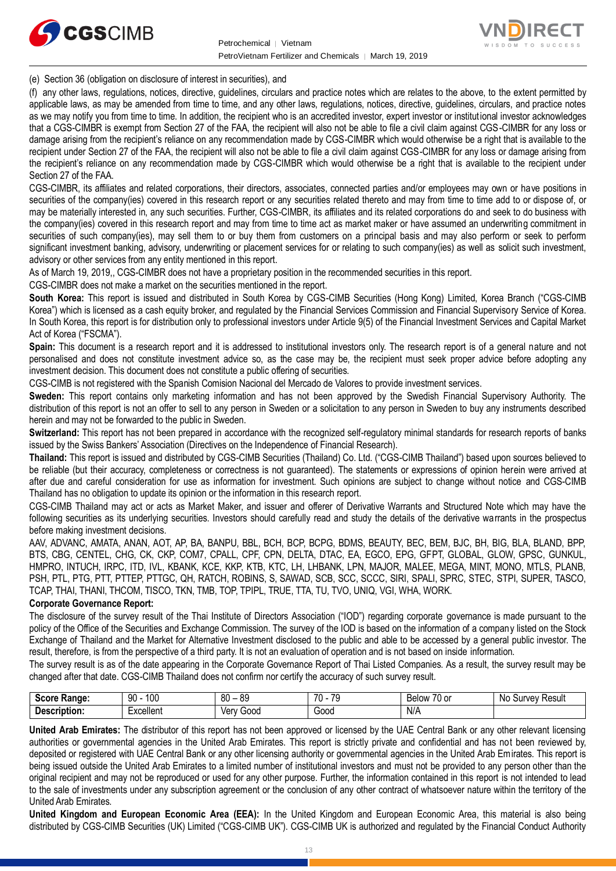



(e) Section 36 (obligation on disclosure of interest in securities), and

(f) any other laws, regulations, notices, directive, guidelines, circulars and practice notes which are relates to the above, to the extent permitted by applicable laws, as may be amended from time to time, and any other laws, regulations, notices, directive, guidelines, circulars, and practice notes as we may notify you from time to time. In addition, the recipient who is an accredited investor, expert investor or institutional investor acknowledges that a CGS-CIMBR is exempt from Section 27 of the FAA, the recipient will also not be able to file a civil claim against CGS-CIMBR for any loss or damage arising from the recipient's reliance on any recommendation made by CGS-CIMBR which would otherwise be a right that is available to the recipient under Section 27 of the FAA, the recipient will also not be able to file a civil claim against CGS-CIMBR for any loss or damage arising from the recipient's reliance on any recommendation made by CGS-CIMBR which would otherwise be a right that is available to the recipient under Section 27 of the FAA.

CGS-CIMBR, its affiliates and related corporations, their directors, associates, connected parties and/or employees may own or have positions in securities of the company(ies) covered in this research report or any securities related thereto and may from time to time add to or dispose of, or may be materially interested in, any such securities. Further, CGS-CIMBR, its affiliates and its related corporations do and seek to do business with the company(ies) covered in this research report and may from time to time act as market maker or have assumed an underwriting commitment in securities of such company(ies), may sell them to or buy them from customers on a principal basis and may also perform or seek to perform significant investment banking, advisory, underwriting or placement services for or relating to such company(ies) as well as solicit such investment, advisory or other services from any entity mentioned in this report.

As of March 19, 2019,, CGS-CIMBR does not have a proprietary position in the recommended securities in this report.

CGS-CIMBR does not make a market on the securities mentioned in the report.

**South Korea:** This report is issued and distributed in South Korea by CGS-CIMB Securities (Hong Kong) Limited, Korea Branch ("CGS-CIMB Korea") which is licensed as a cash equity broker, and regulated by the Financial Services Commission and Financial Supervisory Service of Korea. In South Korea, this report is for distribution only to professional investors under Article 9(5) of the Financial Investment Services and Capital Market Act of Korea ("FSCMA").

**Spain:** This document is a research report and it is addressed to institutional investors only. The research report is of a general nature and not personalised and does not constitute investment advice so, as the case may be, the recipient must seek proper advice before adopting any investment decision. This document does not constitute a public offering of securities.

CGS-CIMB is not registered with the Spanish Comision Nacional del Mercado de Valores to provide investment services.

**Sweden:** This report contains only marketing information and has not been approved by the Swedish Financial Supervisory Authority. The distribution of this report is not an offer to sell to any person in Sweden or a solicitation to any person in Sweden to buy any instruments described herein and may not be forwarded to the public in Sweden.

**Switzerland:** This report has not been prepared in accordance with the recognized self-regulatory minimal standards for research reports of banks issued by the Swiss Bankers' Association (Directives on the Independence of Financial Research).

**Thailand:** This report is issued and distributed by CGS-CIMB Securities (Thailand) Co. Ltd. ("CGS-CIMB Thailand") based upon sources believed to be reliable (but their accuracy, completeness or correctness is not guaranteed). The statements or expressions of opinion herein were arrived at after due and careful consideration for use as information for investment. Such opinions are subject to change without notice and CGS-CIMB Thailand has no obligation to update its opinion or the information in this research report.

CGS-CIMB Thailand may act or acts as Market Maker, and issuer and offerer of Derivative Warrants and Structured Note which may have the following securities as its underlying securities. Investors should carefully read and study the details of the derivative warrants in the prospectus before making investment decisions.

AAV, ADVANC, AMATA, ANAN, AOT, AP, BA, BANPU, BBL, BCH, BCP, BCPG, BDMS, BEAUTY, BEC, BEM, BJC, BH, BIG, BLA, BLAND, BPP, BTS, CBG, CENTEL, CHG, CK, CKP, COM7, CPALL, CPF, CPN, DELTA, DTAC, EA, EGCO, EPG, GFPT, GLOBAL, GLOW, GPSC, GUNKUL, HMPRO, INTUCH, IRPC, ITD, IVL, KBANK, KCE, KKP, KTB, KTC, LH, LHBANK, LPN, MAJOR, MALEE, MEGA, MINT, MONO, MTLS, PLANB, PSH, PTL, PTG, PTT, PTTEP, PTTGC, QH, RATCH, ROBINS, S, SAWAD, SCB, SCC, SCCC, SIRI, SPALI, SPRC, STEC, STPI, SUPER, TASCO, TCAP, THAI, THANI, THCOM, TISCO, TKN, TMB, TOP, TPIPL, TRUE, TTA, TU, TVO, UNIQ, VGI, WHA, WORK.

#### **Corporate Governance Report:**

The disclosure of the survey result of the Thai Institute of Directors Association ("IOD") regarding corporate governance is made pursuant to the policy of the Office of the Securities and Exchange Commission. The survey of the IOD is based on the information of a company listed on the Stock Exchange of Thailand and the Market for Alternative Investment disclosed to the public and able to be accessed by a general public investor. The result, therefore, is from the perspective of a third party. It is not an evaluation of operation and is not based on inside information.

The survey result is as of the date appearing in the Corporate Governance Report of Thai Listed Companies. As a result, the survey result may be changed after that date. CGS-CIMB Thailand does not confirm nor certify the accuracy of such survey result.

| <b>Score</b><br>Range: | ۵N<br>100<br>ĴU | 80<br>RΟ<br>v | 7٨<br>70<br>$\sim$ | 70 or<br>Belov | Resul<br>No.<br>Survey |
|------------------------|-----------------|---------------|--------------------|----------------|------------------------|
| Description:           | ∟xcellent       | Gooc<br>Verv  | Good               | N/A            |                        |

**United Arab Emirates:** The distributor of this report has not been approved or licensed by the UAE Central Bank or any other relevant licensing authorities or governmental agencies in the United Arab Emirates. This report is strictly private and confidential and has not been reviewed by, deposited or registered with UAE Central Bank or any other licensing authority or governmental agencies in the United Arab Emirates. This report is being issued outside the United Arab Emirates to a limited number of institutional investors and must not be provided to any person other than the original recipient and may not be reproduced or used for any other purpose. Further, the information contained in this report is not intended to lead to the sale of investments under any subscription agreement or the conclusion of any other contract of whatsoever nature within the territory of the United Arab Emirates.

**United Kingdom and European Economic Area (EEA):** In the United Kingdom and European Economic Area, this material is also being distributed by CGS-CIMB Securities (UK) Limited ("CGS-CIMB UK"). CGS-CIMB UK is authorized and regulated by the Financial Conduct Authority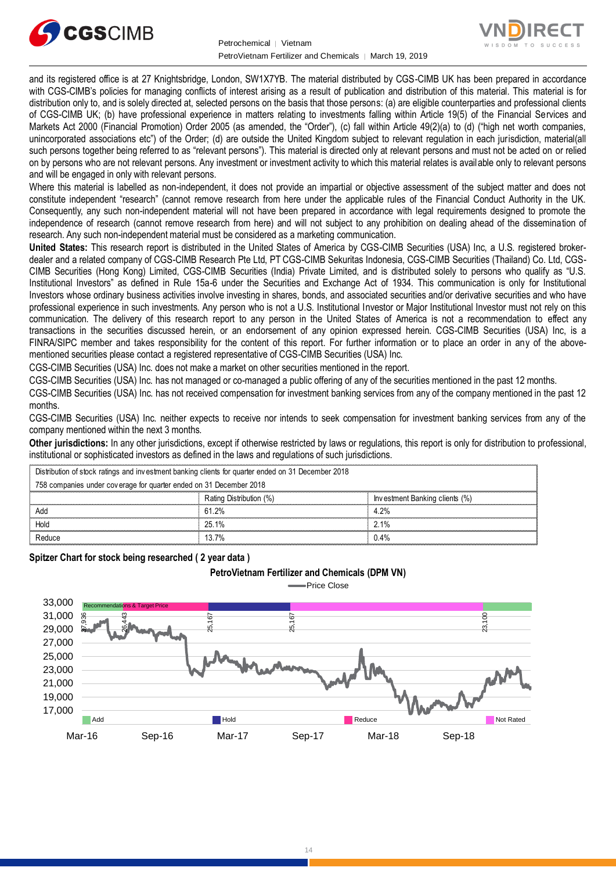



and its registered office is at 27 Knightsbridge, London, SW1X7YB. The material distributed by CGS-CIMB UK has been prepared in accordance with CGS-CIMB's policies for managing conflicts of interest arising as a result of publication and distribution of this material. This material is for distribution only to, and is solely directed at, selected persons on the basis that those persons: (a) are eligible counterparties and professional clients of CGS-CIMB UK; (b) have professional experience in matters relating to investments falling within Article 19(5) of the Financial Services and Markets Act 2000 (Financial Promotion) Order 2005 (as amended, the "Order"), (c) fall within Article 49(2)(a) to (d) ("high net worth companies, unincorporated associations etc") of the Order; (d) are outside the United Kingdom subject to relevant regulation in each jurisdiction, material(all such persons together being referred to as "relevant persons"). This material is directed only at relevant persons and must not be acted on or relied on by persons who are not relevant persons. Any investment or investment activity to which this material relates is available only to relevant persons and will be engaged in only with relevant persons.

Where this material is labelled as non-independent, it does not provide an impartial or objective assessment of the subject matter and does not constitute independent "research" (cannot remove research from here under the applicable rules of the Financial Conduct Authority in the UK. Consequently, any such non-independent material will not have been prepared in accordance with legal requirements designed to promote the independence of research (cannot remove research from here) and will not subject to any prohibition on dealing ahead of the dissemination of research. Any such non-independent material must be considered as a marketing communication.

**United States:** This research report is distributed in the United States of America by CGS-CIMB Securities (USA) Inc, a U.S. registered brokerdealer and a related company of CGS-CIMB Research Pte Ltd, PT CGS-CIMB Sekuritas Indonesia, CGS-CIMB Securities (Thailand) Co. Ltd, CGS-CIMB Securities (Hong Kong) Limited, CGS-CIMB Securities (India) Private Limited, and is distributed solely to persons who qualify as "U.S. Institutional Investors" as defined in Rule 15a-6 under the Securities and Exchange Act of 1934. This communication is only for Institutional Investors whose ordinary business activities involve investing in shares, bonds, and associated securities and/or derivative securities and who have professional experience in such investments. Any person who is not a U.S. Institutional Investor or Major Institutional Investor must not rely on this communication. The delivery of this research report to any person in the United States of America is not a recommendation to effect any transactions in the securities discussed herein, or an endorsement of any opinion expressed herein. CGS-CIMB Securities (USA) Inc, is a FINRA/SIPC member and takes responsibility for the content of this report. For further information or to place an order in any of the abovementioned securities please contact a registered representative of CGS-CIMB Securities (USA) Inc.

CGS-CIMB Securities (USA) Inc. does not make a market on other securities mentioned in the report.

CGS-CIMB Securities (USA) Inc. has not managed or co-managed a public offering of any of the securities mentioned in the past 12 months.

CGS-CIMB Securities (USA) Inc. has not received compensation for investment banking services from any of the company mentioned in the past 12 months.

CGS-CIMB Securities (USA) Inc. neither expects to receive nor intends to seek compensation for investment banking services from any of the company mentioned within the next 3 months.

**Other jurisdictions:** In any other jurisdictions, except if otherwise restricted by laws or regulations, this report is only for distribution to professional, institutional or sophisticated investors as defined in the laws and regulations of such jurisdictions. being the purisdictions: In any other jurisdictions, except if otherwise restricted by laws<br>stitutional or sophisticated investors as defined in the laws and regulations of such j<br>Distribution of stock ratings and investme

**PetroVietnam Fertilizer and Chemicals (DPM VN)**

| <b>Other jurisdictions:</b> In any other jurisdictions, except if otherwise restricted by laws or regulations, this report is only for distribution to<br>institutional or sophisticated investors as defined in the laws and regulations of such jurisdictions. |                         |                                |  |  |
|------------------------------------------------------------------------------------------------------------------------------------------------------------------------------------------------------------------------------------------------------------------|-------------------------|--------------------------------|--|--|
| Distribution of stock ratings and investment banking clients for quarter ended on 31 December 2018                                                                                                                                                               |                         |                                |  |  |
| 758 companies under coverage for quarter ended on 31 December 2018                                                                                                                                                                                               |                         |                                |  |  |
|                                                                                                                                                                                                                                                                  | Rating Distribution (%) | Investment Banking clients (%) |  |  |
| Add                                                                                                                                                                                                                                                              | 61.2%                   | 4.2%                           |  |  |
| Hold                                                                                                                                                                                                                                                             | 25.1%                   | $2.1\%$                        |  |  |
| Reduce                                                                                                                                                                                                                                                           | 13.7%                   | $0.4\%$                        |  |  |
|                                                                                                                                                                                                                                                                  |                         |                                |  |  |

**Spitzer Chart for stock being researched ( 2 year data )** 

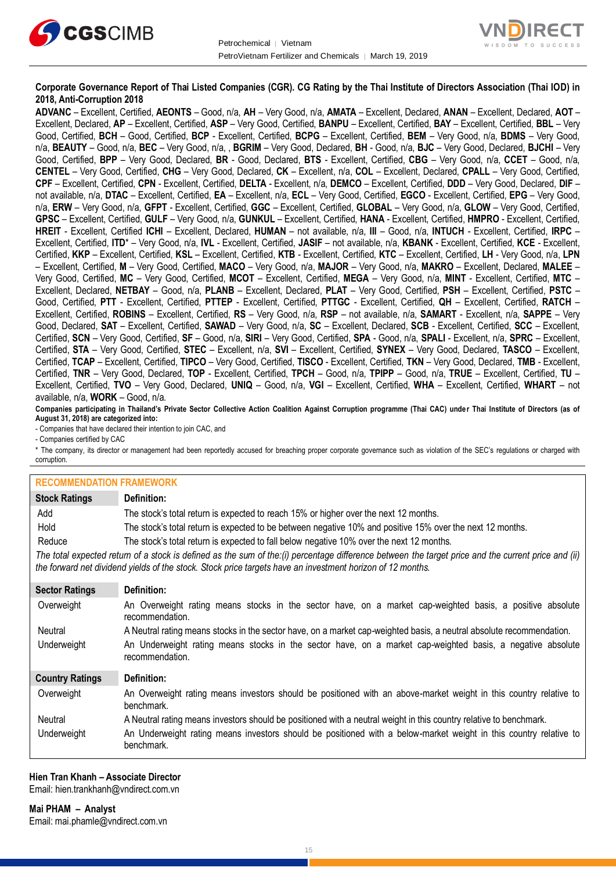



#### **Corporate Governance Report of Thai Listed Companies (CGR). CG Rating by the Thai Institute of Directors Association (Thai IOD) in 2018, Anti-Corruption 2018**

**ADVANC** – Excellent, Certified, **AEONTS** – Good, n/a, **AH** – Very Good, n/a, **AMATA** – Excellent, Declared, **ANAN** – Excellent, Declared, **AOT** – Excellent, Declared, **AP** – Excellent, Certified, **ASP** – Very Good, Certified, **BANPU** – Excellent, Certified, **BAY** – Excellent, Certified, **BBL** – Very Good, Certified, **BCH** – Good, Certified, **BCP** - Excellent, Certified, **BCPG** – Excellent, Certified, **BEM** – Very Good, n/a, **BDMS** – Very Good, n/a, **BEAUTY** – Good, n/a, **BEC** – Very Good, n/a, , **BGRIM** – Very Good, Declared, **BH** - Good, n/a, **BJC** – Very Good, Declared, **BJCHI** – Very Good, Certified, **BPP** – Very Good, Declared, **BR** - Good, Declared, **BTS** - Excellent, Certified, **CBG** – Very Good, n/a, **CCET** – Good, n/a, **CENTEL** – Very Good, Certified, **CHG** – Very Good, Declared, **CK** – Excellent, n/a, **COL** – Excellent, Declared, **CPALL** – Very Good, Certified, **CPF** – Excellent, Certified, **CPN** - Excellent, Certified, **DELTA** - Excellent, n/a, **DEMCO** – Excellent, Certified, **DDD** – Very Good, Declared, **DIF** – not available, n/a, **DTAC** – Excellent, Certified, **EA** – Excellent, n/a, **ECL** – Very Good, Certified, **EGCO** - Excellent, Certified, **EPG** – Very Good, n/a, **ERW** – Very Good, n/a, **GFPT** - Excellent, Certified, **GGC** – Excellent, Certified, **GLOBAL** – Very Good, n/a, **GLOW** – Very Good, Certified, **GPSC** – Excellent, Certified, **GULF** – Very Good, n/a, **GUNKUL** – Excellent, Certified, **HANA** - Excellent, Certified, **HMPRO** - Excellent, Certified, **HREIT** - Excellent, Certified **ICHI** – Excellent, Declared, **HUMAN** – not available, n/a, **III** – Good, n/a, **INTUCH** - Excellent, Certified, **IRPC** – Excellent, Certified, **ITD**\* – Very Good, n/a, **IVL** - Excellent, Certified, **JASIF** – not available, n/a, **KBANK** - Excellent, Certified, **KCE** - Excellent, Certified, **KKP** – Excellent, Certified, **KSL** – Excellent, Certified, **KTB** - Excellent, Certified, **KTC** – Excellent, Certified, **LH** - Very Good, n/a, **LPN** – Excellent, Certified, **M** – Very Good, Certified, **MACO** – Very Good, n/a, **MAJOR** – Very Good, n/a, **MAKRO** – Excellent, Declared, **MALEE** – Very Good, Certified, **MC** – Very Good, Certified, **MCOT** – Excellent, Certified, **MEGA** – Very Good, n/a, **MINT** - Excellent, Certified, **MTC** – Excellent, Declared, **NETBAY** – Good, n/a, **PLANB** – Excellent, Declared, **PLAT** – Very Good, Certified, **PSH** – Excellent, Certified, **PSTC** – Good, Certified, **PTT** - Excellent, Certified, **PTTEP** - Excellent, Certified, **PTTGC** - Excellent, Certified, **QH** – Excellent, Certified, **RATCH** – Excellent, Certified, **ROBINS** – Excellent, Certified, **RS** – Very Good, n/a, **RSP** – not available, n/a, **SAMART** - Excellent, n/a, **SAPPE** – Very Good, Declared, **SAT** – Excellent, Certified, **SAWAD** – Very Good, n/a, **SC** – Excellent, Declared, **SCB** - Excellent, Certified, **SCC** – Excellent, Certified, **SCN** – Very Good, Certified, **SF** – Good, n/a, **SIRI** – Very Good, Certified, **SPA** - Good, n/a, **SPALI** - Excellent, n/a, **SPRC** – Excellent, Certified, **STA** – Very Good, Certified, **STEC** – Excellent, n/a, **SVI** – Excellent, Certified, **SYNEX** – Very Good, Declared, **TASCO** – Excellent, Certified, **TCAP** – Excellent, Certified, **TIPCO** – Very Good, Certified, **TISCO** - Excellent, Certified, **TKN** – Very Good, Declared, **TMB** - Excellent, Certified, **TNR** – Very Good, Declared, **TOP** - Excellent, Certified, **TPCH** – Good, n/a, **TPIPP** – Good, n/a, **TRUE** – Excellent, Certified, **TU** – Excellent, Certified, **TVO** – Very Good, Declared, **UNIQ** – Good, n/a, **VGI** – Excellent, Certified, **WHA** – Excellent, Certified, **WHART** – not available, n/a, **WORK** – Good, n/a.

**Companies participating in Thailand's Private Sector Collective Action Coalition Against Corruption programme (Thai CAC) under Thai Institute of Directors (as of August 31, 2018) are categorized into:**

- Companies that have declared their intention to join CAC, and

- Companies certified by CAC

\* The company, its director or management had been reportedly accused for breaching proper corporate governance such as violation of the SEC's regulations or charged with corruption.

| <b>RECOMMENDATION FRAMEWORK</b>                                                                                                                                                                                                                                   |                                                                                                                                 |  |  |
|-------------------------------------------------------------------------------------------------------------------------------------------------------------------------------------------------------------------------------------------------------------------|---------------------------------------------------------------------------------------------------------------------------------|--|--|
| <b>Stock Ratings</b>                                                                                                                                                                                                                                              | Definition:                                                                                                                     |  |  |
| Add                                                                                                                                                                                                                                                               | The stock's total return is expected to reach 15% or higher over the next 12 months.                                            |  |  |
| Hold                                                                                                                                                                                                                                                              | The stock's total return is expected to be between negative 10% and positive 15% over the next 12 months.                       |  |  |
| Reduce                                                                                                                                                                                                                                                            | The stock's total return is expected to fall below negative 10% over the next 12 months.                                        |  |  |
| The total expected return of a stock is defined as the sum of the:(i) percentage difference between the target price and the current price and (ii)<br>the forward net dividend yields of the stock. Stock price targets have an investment horizon of 12 months. |                                                                                                                                 |  |  |
| <b>Sector Ratings</b>                                                                                                                                                                                                                                             | Definition:                                                                                                                     |  |  |
| Overweight                                                                                                                                                                                                                                                        | An Overweight rating means stocks in the sector have, on a market cap-weighted basis, a positive absolute<br>recommendation.    |  |  |
| Neutral                                                                                                                                                                                                                                                           | A Neutral rating means stocks in the sector have, on a market cap-weighted basis, a neutral absolute recommendation.            |  |  |
| Underweight                                                                                                                                                                                                                                                       | An Underweight rating means stocks in the sector have, on a market cap-weighted basis, a negative absolute<br>recommendation.   |  |  |
| <b>Country Ratings</b>                                                                                                                                                                                                                                            | Definition:                                                                                                                     |  |  |
| Overweight                                                                                                                                                                                                                                                        | An Overweight rating means investors should be positioned with an above-market weight in this country relative to<br>benchmark. |  |  |
| Neutral                                                                                                                                                                                                                                                           | A Neutral rating means investors should be positioned with a neutral weight in this country relative to benchmark.              |  |  |
| Underweight                                                                                                                                                                                                                                                       | An Underweight rating means investors should be positioned with a below-market weight in this country relative to<br>benchmark. |  |  |

## **Hien Tran Khanh – Associate Director**

Email[: hien.trankhanh@vndirect.com.vn](mailto:hien.trankhanh@vndirect.com.vn)

**Mai PHAM – Analyst** Email[: mai.phamle@vndirect.com.vn](mailto:mai.phamle@vndirect.com.vn)